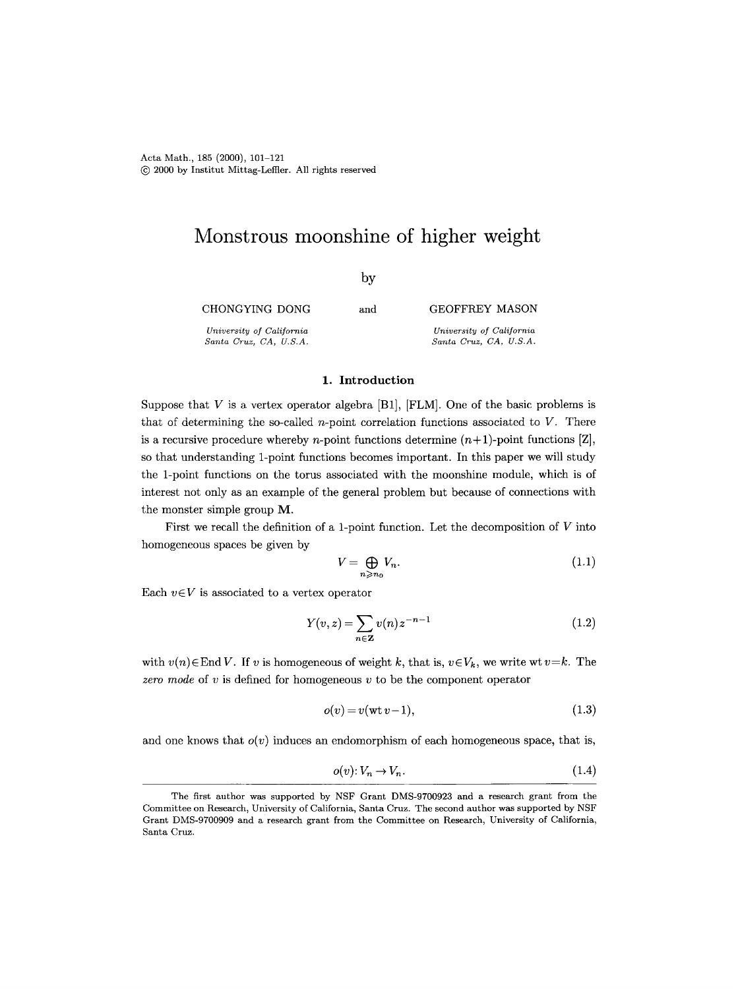Acta Math., 185 (2000), 101-121 (~) 2000 by Institut Mittag-Leff]er. All rights reserved

# **Monstrous moonshine of higher weight**

by

CHONGYING DONG *University of California Santa Cruz, CA, U.S.A.*  and GEOFFREY MASON *University of California Santa Cruz, CA, U.S.A.* 

#### 1. Introduction

Suppose that V is a vertex operator algebra  $[B1]$ ,  $[FLM]$ . One of the basic problems is that of determining the so-called  $n$ -point correlation functions associated to  $V$ . There is a recursive procedure whereby *n*-point functions determine  $(n+1)$ -point functions [Z], so that understanding 1-point functions becomes important. In this paper we will study the 1-point functions on the torus associated with the moonshine module, which is of interest not only as an example of the general problem but because of connections with the monster simple group M.

First we recall the definition of a 1-point function. Let the decomposition of  $V$  into homogeneous spaces be given by

$$
V = \bigoplus_{n \ge n_0} V_n. \tag{1.1}
$$

Each  $v \in V$  is associated to a vertex operator

$$
Y(v, z) = \sum_{n \in \mathbb{Z}} v(n) z^{-n-1}
$$
 (1.2)

with  $v(n) \in$  End V. If v is homogeneous of weight k, that is,  $v \in V_k$ , we write wt  $v = k$ . The *zero mode* of v is defined for homogeneous v to be the component operator

$$
o(v) = v(\text{wt }v-1),\tag{1.3}
$$

and one knows that  $o(v)$  induces an endomorphism of each homogeneous space, that is,

$$
o(v): V_n \to V_n. \tag{1.4}
$$

The first author was supported by NSF Grant DMS-9700923 and a research grant from the Committee on Research, University of California, Santa Cruz. The second author was supported by NSF Grant DMS-9700909 and a research grant from the Committee on Research, University of California, Santa Cruz.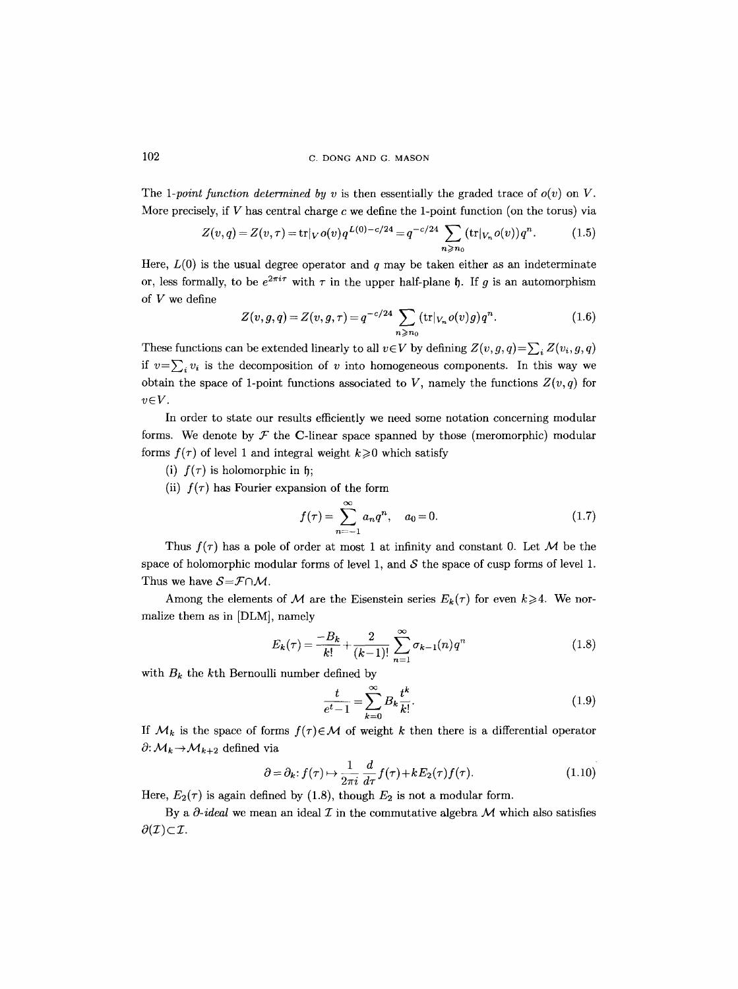## 102 C. DONG AND G. MASON

The *1-point function determined by v* is then essentially the graded trace of  $o(v)$  on V. More precisely, if  $V$  has central charge  $c$  we define the 1-point function (on the torus) via

$$
Z(v,q) = Z(v,\tau) = \text{tr}|_V o(v) q^{L(0)-c/24} = q^{-c/24} \sum_{n \ge n_0} (\text{tr}|_{V_n} o(v)) q^n.
$$
 (1.5)

Here,  $L(0)$  is the usual degree operator and q may be taken either as an indeterminate or, less formally, to be  $e^{2\pi i \tau}$  with  $\tau$  in the upper half-plane  $\mathfrak h$ . If q is an automorphism of V we define

$$
Z(v,g,q) = Z(v,g,\tau) = q^{-c/24} \sum_{n \ge n_0} (\text{tr}|_{V_n} o(v)g) q^n.
$$
 (1.6)

These functions can be extended linearly to all  $v \in V$  by defining  $Z(v, g, q) = \sum_i Z(v_i, g, q)$ if  $v=\sum_i v_i$  is the decomposition of v into homogeneous components. In this way we obtain the space of 1-point functions associated to V, namely the functions  $Z(v, q)$  for  $v \in V$ .

In order to state our results efficiently we need some notation concerning modular forms. We denote by  $\mathcal F$  the C-linear space spanned by those (meromorphic) modular forms  $f(\tau)$  of level 1 and integral weight  $k \geq 0$  which satisfy

- (i)  $f(\tau)$  is holomorphic in  $\mathfrak{h}$ ;
- (ii)  $f(\tau)$  has Fourier expansion of the form

$$
f(\tau) = \sum_{n=-1}^{\infty} a_n q^n, \quad a_0 = 0.
$$
 (1.7)

Thus  $f(\tau)$  has a pole of order at most 1 at infinity and constant 0. Let M be the space of holomorphic modular forms of level 1, and  $S$  the space of cusp forms of level 1. Thus we have  $S = \mathcal{F} \cap \mathcal{M}$ .

Among the elements of M are the Eisenstein series  $E_k(\tau)$  for even  $k \geq 4$ . We normalize them as in [DLM], namely

$$
E_k(\tau) = \frac{-B_k}{k!} + \frac{2}{(k-1)!} \sum_{n=1}^{\infty} \sigma_{k-1}(n) q^n
$$
 (1.8)

with  $B_k$  the kth Bernoulli number defined by

$$
\frac{t}{e^t - 1} = \sum_{k=0}^{\infty} B_k \frac{t^k}{k!}.
$$
\n(1.9)

If  $\mathcal{M}_k$  is the space of forms  $f(\tau) \in \mathcal{M}$  of weight k then there is a differential operator  $\partial: \mathcal{M}_k \rightarrow \mathcal{M}_{k+2}$  defined via

$$
\partial = \partial_k : f(\tau) \mapsto \frac{1}{2\pi i} \frac{d}{d\tau} f(\tau) + k E_2(\tau) f(\tau). \tag{1.10}
$$

Here,  $E_2(\tau)$  is again defined by (1.8), though  $E_2$  is not a modular form.

By a  $\partial$ -ideal we mean an ideal  $\mathcal I$  in the commutative algebra  $\mathcal M$  which also satisfies  $\partial(\mathcal{I})\subset\mathcal{I}.$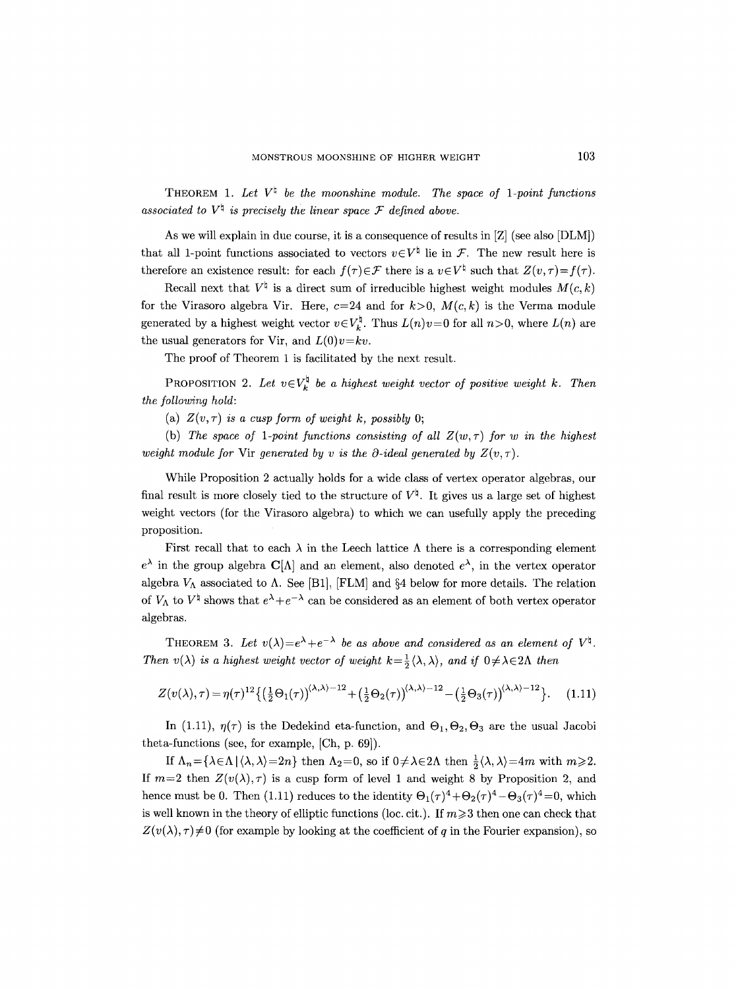THEOREM 1. Let  $V^{\natural}$  be the moonshine module. The space of 1-point functions associated to  $V^{\dagger}$  is precisely the linear space  $\mathcal F$  defined above.

As we will explain in due course, it is a consequence of results in [Z] (see also [DLM]) that all 1-point functions associated to vectors  $v \in V^{\natural}$  lie in  $\mathcal{F}$ . The new result here is therefore an existence result: for each  $f(\tau) \in \mathcal{F}$  there is a  $v \in V^{\dagger}$  such that  $Z(v, \tau) = f(\tau)$ .

Recall next that  $V^{\natural}$  is a direct sum of irreducible highest weight modules  $M(c, k)$ for the Virasoro algebra Vir. Here,  $c=24$  and for  $k>0$ ,  $M(c, k)$  is the Verma module generated by a highest weight vector  $v \in V_k^{\natural}$ . Thus  $L(n)v=0$  for all  $n>0$ , where  $L(n)$  are the usual generators for Vir, and  $L(0)v=kv$ .

The proof of Theorem 1 is facilitated by the next result.

PROPOSITION 2. Let  $v \in V_k^{\natural}$  be a highest weight vector of positive weight k. Then *the following hold:* 

(a)  $Z(v, \tau)$  *is a cusp form of weight k, possibly 0;* 

(b) The space of 1-point functions consisting of all  $Z(w, \tau)$  for w in the highest *weight module for* Vir *generated by v is the*  $\partial$ *-ideal generated by*  $Z(v, \tau)$ .

While Proposition 2 actually holds for a wide class of vertex operator algebras, our final result is more closely tied to the structure of  $V^{\natural}$ . It gives us a large set of highest weight vectors (for the Virasoro algebra) to which we can usefully apply the preceding proposition.

First recall that to each  $\lambda$  in the Leech lattice  $\Lambda$  there is a corresponding element  $e^{\lambda}$  in the group algebra  $\mathbf{C}[\Lambda]$  and an element, also denoted  $e^{\lambda}$ , in the vertex operator algebra  $V_{\Lambda}$  associated to  $\Lambda$ . See [B1], [FLM] and §4 below for more details. The relation of  $V_{\Lambda}$  to  $V^{\dagger}$  shows that  $e^{\lambda}+e^{-\lambda}$  can be considered as an element of both vertex operator algebras.

THEOREM 3. Let  $v(\lambda) = e^{\lambda} + e^{-\lambda}$  be as above and considered as an element of  $V^{\natural}$ . *Then*  $v(\lambda)$  *is a highest weight vector of weight*  $k = \frac{1}{2} \langle \lambda, \lambda \rangle$ , *and if*  $0 \neq \lambda \in 2\Lambda$  *then* 

$$
Z(v(\lambda),\tau) = \eta(\tau)^{12} \left\{ \left(\frac{1}{2}\Theta_1(\tau)\right)^{(\lambda,\lambda)-12} + \left(\frac{1}{2}\Theta_2(\tau)\right)^{(\lambda,\lambda)-12} - \left(\frac{1}{2}\Theta_3(\tau)\right)^{(\lambda,\lambda)-12} \right\}.
$$
 (1.11)

In (1.11),  $\eta(\tau)$  is the Dedekind eta-function, and  $\Theta_1, \Theta_2, \Theta_3$  are the usual Jacobi theta-functions (see, for example, [Ch, p. 69]).

If  $\Lambda_n = {\lambda \in \Lambda | \langle \lambda, \lambda \rangle = 2n}$  then  $\Lambda_2 = 0$ , so if  $0 \neq \lambda \in 2\Lambda$  then  $\frac{1}{2} \langle \lambda, \lambda \rangle = 4m$  with  $m \geq 2$ . If  $m=2$  then  $Z(v(\lambda),\tau)$  is a cusp form of level 1 and weight 8 by Proposition 2, and hence must be 0. Then (1.11) reduces to the identity  $\Theta_1(\tau)^4 + \Theta_2(\tau)^4 - \Theta_3(\tau)^4 = 0$ , which is well known in the theory of elliptic functions (loc. cit.). If  $m \geq 3$  then one can check that  $Z(v(\lambda), \tau) \neq 0$  (for example by looking at the coefficient of q in the Fourier expansion), so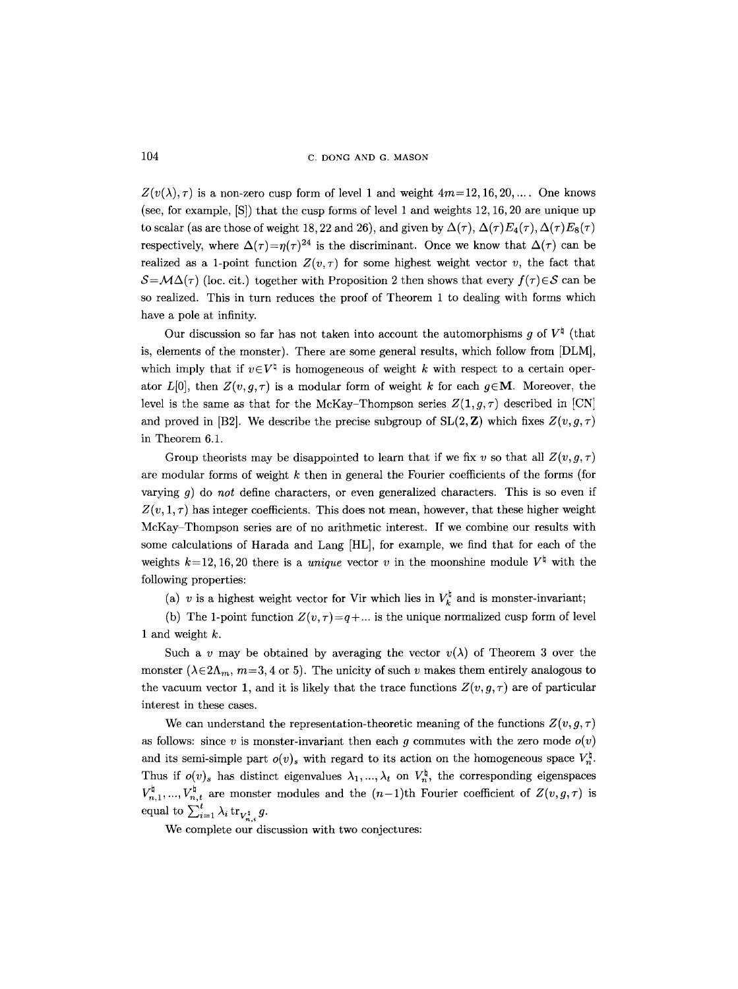104 C. DONG AND G. MASON

 $Z(v(\lambda),\tau)$  is a non-zero cusp form of level 1 and weight  $4m=12, 16, 20, \ldots$ . One knows (see, for example, [S]) that the cusp forms of level 1 and weights 12, 16, 20 are unique up to scalar (as are those of weight 18, 22 and 26), and given by  $\Delta(\tau)$ ,  $\Delta(\tau)E_4(\tau)$ ,  $\Delta(\tau)E_8(\tau)$ respectively, where  $\Delta(\tau)=\eta(\tau)^{24}$  is the discriminant. Once we know that  $\Delta(\tau)$  can be realized as a 1-point function  $Z(v, \tau)$  for some highest weight vector v, the fact that  $S = \mathcal{M}\Delta(\tau)$  (loc. cit.) together with Proposition 2 then shows that every  $f(\tau) \in S$  can be so realized. This in turn reduces the proof of Theorem 1 to dealing with forms which have a pole at infinity.

Our discussion so far has not taken into account the automorphisms g of  $V^{\dagger}$  (that is, elements of the monster). There are some general results, which follow from [DLM], which imply that if  $v \in V^{\natural}$  is homogeneous of weight k with respect to a certain operator  $L[0]$ , then  $Z(v, g, \tau)$  is a modular form of weight k for each  $g \in M$ . Moreover, the level is the same as that for the McKay-Thompson series  $Z(1,g,\tau)$  described in [CN] and proved in [B2]. We describe the precise subgroup of  $SL(2, \mathbb{Z})$  which fixes  $Z(v, g, \tau)$ in Theorem 6.1.

Group theorists may be disappointed to learn that if we fix v so that all  $Z(v, g, \tau)$ are modular forms of weight  $k$  then in general the Fourier coefficients of the forms (for varying g) do *not* define characters, or even generalized characters. This is so even if  $Z(v, 1, \tau)$  has integer coefficients. This does not mean, however, that these higher weight McKay Thompson series are of no arithmetic interest. If we combine our results with some calculations of Harada and Lang [HL], for example, we find that for each of the weights  $k=12, 16, 20$  there is a *unique* vector v in the moonshine module  $V^{\dagger}$  with the following properties:

(a) v is a highest weight vector for Vir which lies in  $V_k^{\natural}$  and is monster-invariant;

(b) The 1-point function  $Z(v, \tau) = q + ...$  is the unique normalized cusp form of level 1 and weight  $k$ .

Such a v may be obtained by averaging the vector  $v(\lambda)$  of Theorem 3 over the monster ( $\lambda \in 2\Lambda_m$ ,  $m=3, 4$  or 5). The unicity of such v makes them entirely analogous to the vacuum vector 1, and it is likely that the trace functions  $Z(v, g, \tau)$  are of particular interest in these cases.

We can understand the representation-theoretic meaning of the functions  $Z(v, g, \tau)$ as follows: since v is monster-invariant then each g commutes with the zero mode  $o(v)$ and its semi-simple part  $o(v)$ <sub>s</sub> with regard to its action on the homogeneous space  $V_r^{\sharp}$ . Thus if  $o(v)_s$  has distinct eigenvalues  $\lambda_1, ..., \lambda_t$  on  $V_n^{\dagger}$ , the corresponding eigenspaces  $V^{\sharp}_{n,1}, ..., V^{\sharp}_{n,t}$  are monster modules and the  $(n-1)$ th Fourier coefficient of  $Z(v, g, \tau)$  is equal to  $\sum_{i=1}^t \lambda_i \operatorname{tr}_{V_{n,i}^\dagger} g$ .

We complete our discussion with two conjectures: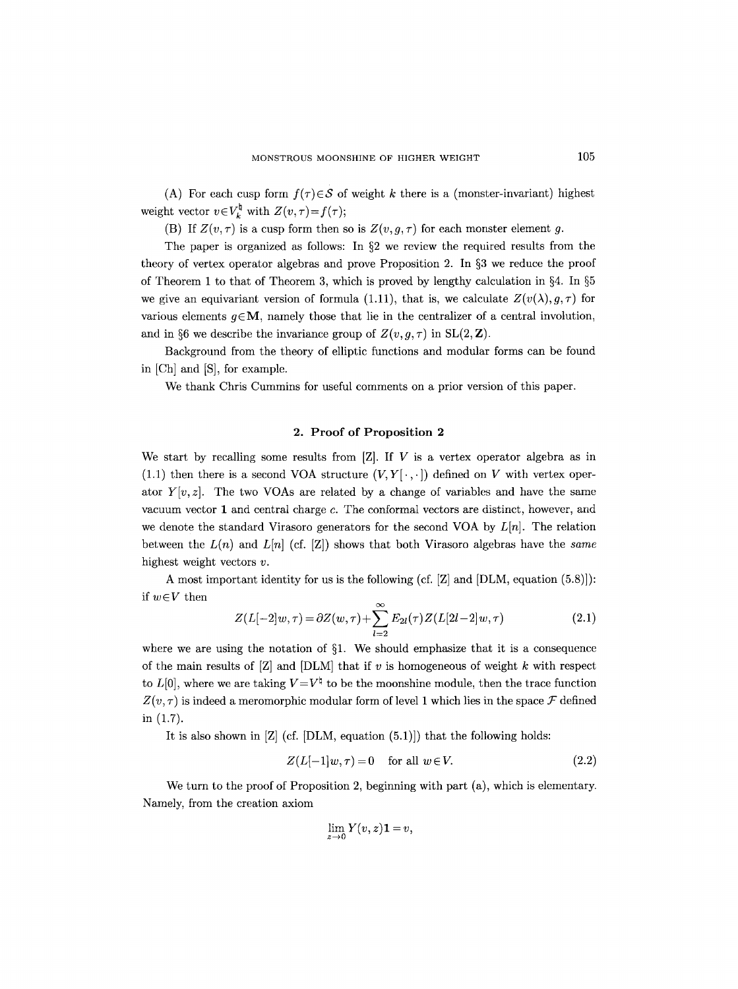(A) For each cusp form  $f(\tau) \in S$  of weight k there is a (monster-invariant) highest weight vector  $v \in V_k^{\natural}$  with  $Z(v, \tau) = f(\tau);$ 

(B) If  $Z(v, \tau)$  is a cusp form then so is  $Z(v, g, \tau)$  for each monster element g.

The paper is organized as follows: In  $\S2$  we review the required results from the theory of vertex operator algebras and prove Proposition 2. In  $\S$ 3 we reduce the proof of Theorem 1 to that of Theorem 3, which is proved by lengthy calculation in  $\S 4$ . In  $\S 5$ we give an equivariant version of formula (1.11), that is, we calculate  $Z(v(\lambda), g, \tau)$  for various elements  $q \in M$ , namely those that lie in the centralizer of a central involution, and in §6 we describe the invariance group of  $Z(v, g, \tau)$  in SL(2, **Z**).

Background from the theory of elliptic functions and modular forms can be found in [Ch] and [S], for example.

We thank Chris Cummins for useful comments on a prior version of this paper.

### 2. Proof of Proposition 2

We start by recalling some results from  $[Z]$ . If V is a vertex operator algebra as in (1.1) then there is a second VOA structure  $(V, Y[\cdot, \cdot])$  defined on V with vertex operator  $Y[v, z]$ . The two VOAs are related by a change of variables and have the same vacuum vector 1 and central charge c. The conformal vectors are distinct, however, and we denote the standard Virasoro generators for the second VOA by *L[n].* The relation between the  $L(n)$  and  $L[n]$  (cf. [Z]) shows that both Virasoro algebras have the *same* highest weight vectors  $v$ .

A most important identity for us is the following (cf.  $[Z]$  and  $[DLM, equation (5.8)]$ ): if  $w \in V$  then

$$
Z(L[-2]w,\tau) = \partial Z(w,\tau) + \sum_{l=2}^{\infty} E_{2l}(\tau) Z(L[2l-2]w,\tau)
$$
\n(2.1)

where we are using the notation of  $\S1$ . We should emphasize that it is a consequence of the main results of  $[Z]$  and  $[DLM]$  that if v is homogeneous of weight k with respect to  $L[0]$ , where we are taking  $V=V^{\dagger}$  to be the moonshine module, then the trace function  $Z(v, \tau)$  is indeed a meromorphic modular form of level 1 which lies in the space  $\mathcal F$  defined in (1.7).

It is also shown in  $[Z]$  (cf.  $[DLM,$  equation  $(5.1)]$ ) that the following holds:

$$
Z(L[-1]w, \tau) = 0 \quad \text{for all } w \in V. \tag{2.2}
$$

We turn to the proof of Proposition 2, beginning with part (a), which is elementary. Namely, from the creation axiom

$$
\lim_{z\to 0}Y(v,z)\mathbf{1}=v,
$$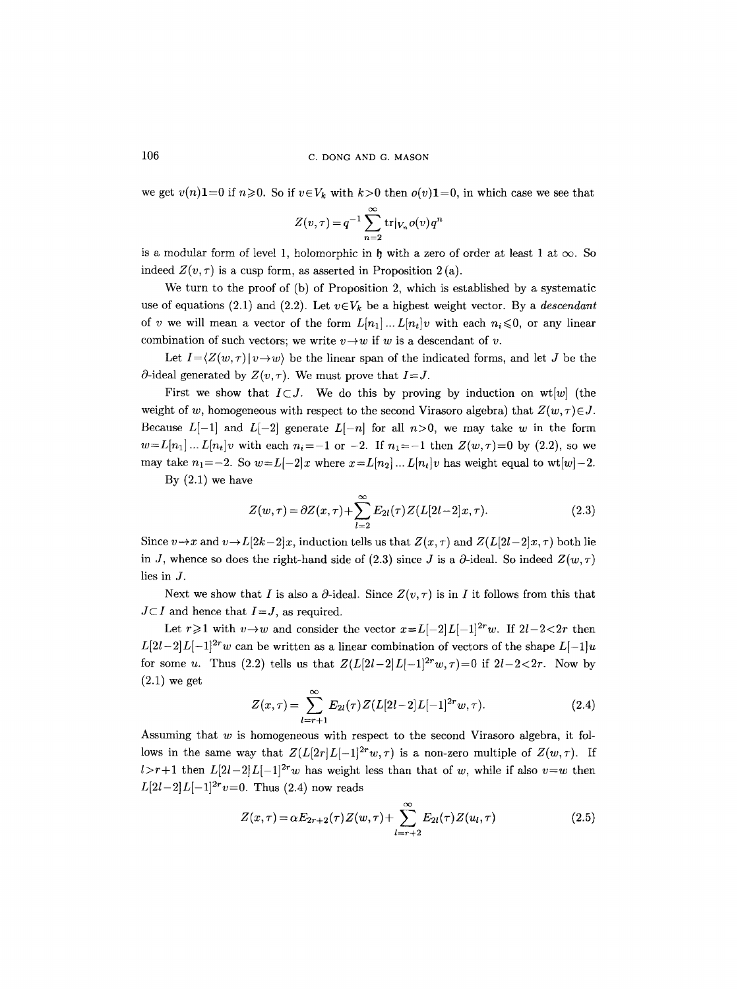we get  $v(n)$ **1**=0 if  $n \ge 0$ . So if  $v \in V_k$  with  $k>0$  then  $o(v)$ **1**=0, in which case we see that

$$
Z(v,\tau) = q^{-1} \sum_{n=2}^{\infty} \text{tr}|_{V_n} o(v) q^n
$$

is a modular form of level 1, holomorphic in  $\mathfrak h$  with a zero of order at least 1 at  $\infty$ . So indeed  $Z(v, \tau)$  is a cusp form, as asserted in Proposition 2(a).

We turn to the proof of (b) of Proposition 2, which is established by a systematic use of equations (2.1) and (2.2). Let  $v \in V_k$  be a highest weight vector. By a *descendant* of v we will mean a vector of the form  $L[n_1] \dots L[n_t]v$  with each  $n_i \leq 0$ , or any linear combination of such vectors; we write  $v \rightarrow w$  if w is a descendant of v.

Let  $I=\langle Z(w,\tau)|v\rightarrow w\rangle$  be the linear span of the indicated forms, and let J be the  $\partial$ -ideal generated by  $Z(v, \tau)$ . We must prove that  $I = J$ .

First we show that  $I\subset J$ . We do this by proving by induction on wt[w] (the weight of w, homogeneous with respect to the second Virasoro algebra) that  $Z(w, \tau) \in J$ . Because  $L[-1]$  and  $L[-2]$  generate  $L[-n]$  for all  $n>0$ , we may take w in the form  $w=L[n_1]...L[n_t]v$  with each  $n_i=-1$  or  $-2$ . If  $n_1=-1$  then  $Z(w,\tau)=0$  by (2.2), so we may take  $n_1=-2$ . So  $w=L[-2]x$  where  $x=L[n_2]... L[n_t]v$  has weight equal to wt[w]-2.

By  $(2.1)$  we have

$$
Z(w,\tau) = \partial Z(x,\tau) + \sum_{l=2}^{\infty} E_{2l}(\tau) Z(L[2l-2]x,\tau).
$$
 (2.3)

Since  $v \rightarrow x$  and  $v \rightarrow L[2k-2]x$ , induction tells us that  $Z(x, \tau)$  and  $Z(L[2l-2]x, \tau)$  both lie in J, whence so does the right-hand side of (2.3) since J is a  $\partial$ -ideal. So indeed  $Z(w, \tau)$ lies in J.

Next we show that I is also a  $\partial$ -ideal. Since  $Z(v, \tau)$  is in I it follows from this that  $J \subset I$  and hence that  $I = J$ , as required.

Let  $r \geq 1$  with  $v \to w$  and consider the vector  $x = L[-2]L[-1]^{2r}w$ . If  $2l-2<2r$  then  $L[2l-2]L[-1]^{2r}w$  can be written as a linear combination of vectors of the shape  $L[-1]u$ for some u. Thus (2.2) tells us that  $Z(L[2l-2]L[-1]^{2r}w, \tau) = 0$  if  $2l-2<2r$ . Now by (2.1) we get

$$
Z(x,\tau) = \sum_{l=r+1}^{\infty} E_{2l}(\tau) Z(L[2l-2]L[-1]^{2r}w,\tau).
$$
 (2.4)

Assuming that  $w$  is homogeneous with respect to the second Virasoro algebra, it follows in the same way that  $Z(L[2r]L[-1]^{2r}w,\tau)$  is a non-zero multiple of  $Z(w,\tau)$ . If l>r+1 then  $L[2l-2]L[-1]^{2r}w$  has weight less than that of w, while if also  $v=w$  then  $L[2l-2]L[-1]^{2r}v=0$ . Thus (2.4) now reads

$$
Z(x,\tau) = \alpha E_{2r+2}(\tau) Z(w,\tau) + \sum_{l=r+2}^{\infty} E_{2l}(\tau) Z(u_l,\tau)
$$
\n(2.5)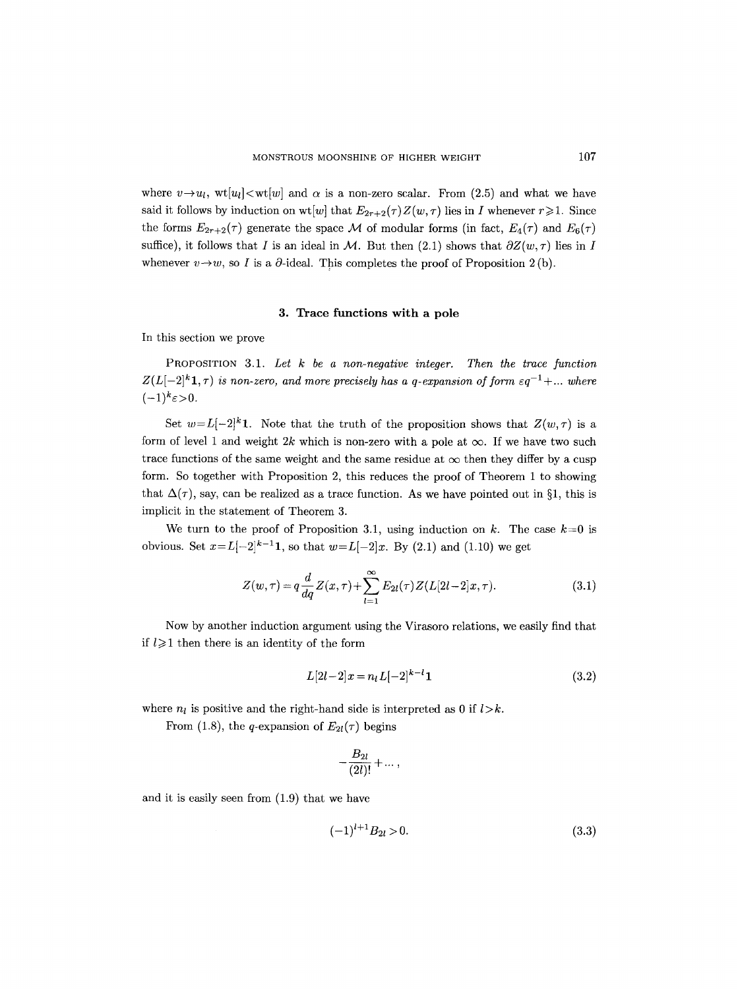where  $v \rightarrow u_l$ ,  $wt[u_l] \ll wt[w]$  and  $\alpha$  is a non-zero scalar. From (2.5) and what we have said it follows by induction on wt[w] that  $E_{2r+2}(\tau)Z(w, \tau)$  lies in I whenever  $r \geq 1$ . Since the forms  $E_{2r+2}(\tau)$  generate the space M of modular forms (in fact,  $E_4(\tau)$  and  $E_6(\tau)$ ) suffice), it follows that I is an ideal in M. But then (2.1) shows that  $\partial Z(w, \tau)$  lies in I whenever  $v \rightarrow w$ , so I is a  $\partial$ -ideal. This completes the proof of Proposition 2(b).

### 3. Trace functions with a pole

In this section we prove

PROPOSITION 3.1. *Let k be a non-negative integer. Then the trace function*   $Z(L[-2]^{k}1,\tau)$  is non-zero, and more precisely has a q-expansion of form  $\epsilon q^{-1} + ...$  where  $(-1)^k \varepsilon > 0$ .

Set  $w = L[-2]^k$ **1**. Note that the truth of the proposition shows that  $Z(w, \tau)$  is a form of level 1 and weight 2k which is non-zero with a pole at  $\infty$ . If we have two such trace functions of the same weight and the same residue at  $\infty$  then they differ by a cusp form. So together with Proposition 2, this reduces the proof of Theorem 1 to showing that  $\Delta(\tau)$ , say, can be realized as a trace function. As we have pointed out in §1, this is implicit in the statement of Theorem 3.

We turn to the proof of Proposition 3.1, using induction on k. The case  $k=0$  is obvious. Set  $x=L[-2]^{k-1}$ **1**, so that  $w=L[-2]x$ . By (2.1) and (1.10) we get

$$
Z(w,\tau) = q \frac{d}{dq} Z(x,\tau) + \sum_{l=1}^{\infty} E_{2l}(\tau) Z(L[2l-2]x,\tau).
$$
 (3.1)

Now by another induction argument using the Virasoro relations, we easily find that if  $l \geq 1$  then there is an identity of the form

$$
L[2l-2]x = n_l L[-2]^{k-l} 1 \tag{3.2}
$$

where  $n_l$  is positive and the right-hand side is interpreted as 0 if  $l > k$ .

From (1.8), the q-expansion of  $E_{2l}(\tau)$  begins

$$
-\frac{B_{2l}}{(2l)!}+\dots
$$

and it is easily seen from (1.9) that we have

$$
(-1)^{l+1}B_{2l} > 0.\t\t(3.3)
$$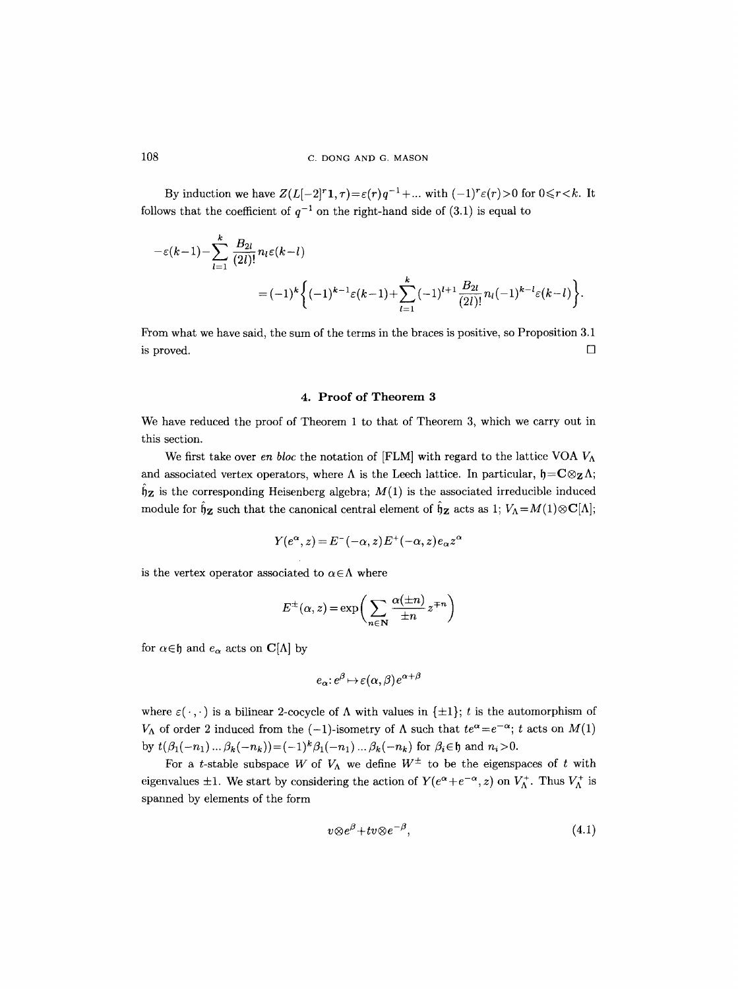By induction we have  $Z(L[-2]^r1, \tau) = \varepsilon(r)q^{-1} + ...$  with  $(-1)^r \varepsilon(r) > 0$  for  $0 \le r < k$ . It follows that the coefficient of  $q^{-1}$  on the right-hand side of (3.1) is equal to

$$
-\varepsilon(k-1) - \sum_{l=1}^{k} \frac{B_{2l}}{(2l)!} n_l \varepsilon(k-l)
$$
  
=  $(-1)^k \left\{ (-1)^{k-1} \varepsilon(k-1) + \sum_{l=1}^{k} (-1)^{l+1} \frac{B_{2l}}{(2l)!} n_l (-1)^{k-l} \varepsilon(k-l) \right\}.$ 

Prom what we have said, the sum of the terms in the braces is positive, so Proposition 3.1 is proved.  $\Box$ 

#### **4. Proof of Theorem 3**

We have reduced the proof of Theorem 1 to that of Theorem 3, which we carry out in this section.

We first take over *en bloc* the notation of [FLM] with regard to the lattice VOA  $V_A$ and associated vertex operators, where  $\Lambda$  is the Leech lattice. In particular,  $\mathfrak{h} = \mathbb{C} \otimes_{\mathbb{Z}} \Lambda$ ;  $\hat{\mathfrak{h}}_{\mathbf{Z}}$  is the corresponding Heisenberg algebra;  $M(1)$  is the associated irreducible induced module for  $\hat{\mathfrak{h}}_z$  such that the canonical central element of  $\hat{\mathfrak{h}}_z$  acts as 1;  $V_\Lambda = M(1) \otimes \mathbf{C}[\Lambda]$ ;

$$
Y(e^{\alpha}, z) = E^{-}(-\alpha, z) E^{+}(-\alpha, z) e_{\alpha} z^{\alpha}
$$

is the vertex operator associated to  $\alpha \in \Lambda$  where

$$
E^{\pm}(\alpha, z) = \exp\bigg(\sum_{n \in \mathbf{N}} \frac{\alpha(\pm n)}{\pm n} z^{\mp n}\bigg)
$$

for  $\alpha \in \mathfrak{h}$  and  $e_{\alpha}$  acts on  $\mathbf{C}[\Lambda]$  by

$$
e_{\alpha}: e^{\beta} \mapsto \varepsilon(\alpha, \beta) e^{\alpha + \beta}
$$

where  $\varepsilon(\cdot,\cdot)$  is a bilinear 2-cocycle of  $\Lambda$  with values in  $\{\pm 1\}$ ; t is the automorphism of  $V_{\Lambda}$  of order 2 induced from the  $(-1)$ -isometry of  $\Lambda$  such that  $te^{\alpha} = e^{-\alpha}$ ; t acts on  $M(1)$ by  $t(\beta_1(-n_1)... \beta_k(-n_k)) = (-1)^k \beta_1(-n_1)... \beta_k(-n_k)$  for  $\beta_i \in \mathfrak{h}$  and  $n_i > 0$ .

For a t-stable subspace W of  $V_{\Lambda}$  we define  $W^{\pm}$  to be the eigenspaces of t with eigenvalues  $\pm 1$ . We start by considering the action of  $Y(e^{\alpha}+e^{-\alpha}, z)$  on  $V_{\Lambda}^{+}$ . Thus  $V_{\Lambda}^{+}$  is spanned by elements of the form

$$
v \otimes e^{\beta} + tv \otimes e^{-\beta}, \tag{4.1}
$$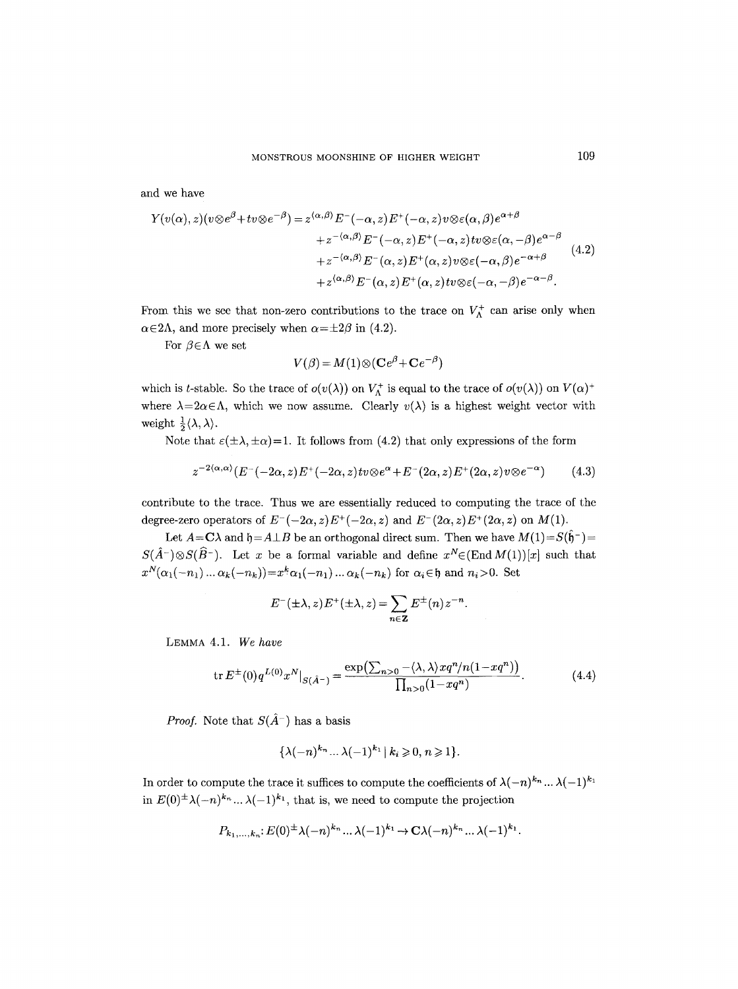and we have

$$
Y(v(\alpha), z)(v \otimes e^{\beta} + tv \otimes e^{-\beta}) = z^{\langle \alpha, \beta \rangle} E^{-}(-\alpha, z) E^{+}(-\alpha, z) v \otimes \varepsilon(\alpha, \beta) e^{\alpha + \beta} + z^{-\langle \alpha, \beta \rangle} E^{-}(-\alpha, z) E^{+}(-\alpha, z) tv \otimes \varepsilon(\alpha, -\beta) e^{\alpha - \beta} + z^{-\langle \alpha, \beta \rangle} E^{-}(\alpha, z) E^{+}(\alpha, z) v \otimes \varepsilon(-\alpha, \beta) e^{-\alpha + \beta} + z^{\langle \alpha, \beta \rangle} E^{-}(\alpha, z) E^{+}(\alpha, z) tv \otimes \varepsilon(-\alpha, -\beta) e^{-\alpha - \beta}.
$$
\n(4.2)

From this we see that non-zero contributions to the trace on  $V_{\Lambda}^+$  can arise only when  $\alpha \in 2\Lambda$ , and more precisely when  $\alpha = \pm 2\beta$  in (4.2).

For  $\beta \in \Lambda$  we set

$$
V(\beta) = M(1) \otimes (\mathbf{C}e^{\beta} + \mathbf{C}e^{-\beta})
$$

which is t-stable. So the trace of  $o(v(\lambda))$  on  $V_{\Lambda}^+$  is equal to the trace of  $o(v(\lambda))$  on  $V(\alpha)^+$ where  $\lambda = 2\alpha \in \Lambda$ , which we now assume. Clearly  $v(\lambda)$  is a highest weight vector with weight  $\frac{1}{2}\langle \lambda, \lambda \rangle$ .

Note that  $\varepsilon(\pm \lambda, \pm \alpha) = 1$ . It follows from (4.2) that only expressions of the form

$$
z^{-2\langle\alpha,\alpha\rangle}(E^{-}(-2\alpha,z)E^{+}(-2\alpha,z)tv\otimes e^{\alpha}+E^{-}(2\alpha,z)E^{+}(2\alpha,z)v\otimes e^{-\alpha})\qquad(4.3)
$$

contribute to the trace. Thus we are essentially reduced to computing the trace of the degree-zero operators of  $E^{-}(-2\alpha, z)E^{+}(-2\alpha, z)$  and  $E^{-}(2\alpha, z)E^{+}(2\alpha, z)$  on  $M(1)$ .

Let  $A = C\lambda$  and  $\mathfrak{h} = A \perp B$  be an orthogonal direct sum. Then we have  $M(1) = S(\hat{\mathfrak{h}}^-)$  $S(\hat{A}^{-})\otimes S(\hat{B}^{-})$ . Let x be a formal variable and define  $x^N \in (End M(1))[x]$  such that  $x^N(\alpha_1(-n_1)\dots\alpha_k(-n_k))=x^k\alpha_1(-n_1)\dots\alpha_k(-n_k)$  for  $\alpha_i\in\mathfrak{h}$  and  $n_i>0$ . Set

$$
E^{-}(\pm\lambda,z)E^{+}(\pm\lambda,z)=\sum_{n\in\mathbf{Z}}E^{\pm}(n)z^{-n}.
$$

LEMMA 4.1. *We have* 

$$
\operatorname{tr} E^{\pm}(0) q^{L(0)} x^N|_{S(\hat{A}^-)} = \frac{\exp(\sum_{n>0} - \langle \lambda, \lambda \rangle x q^n / n(1 - x q^n))}{\prod_{n>0} (1 - x q^n)}.
$$
(4.4)

*Proof.* Note that  $S(\hat{A}^{-})$  has a basis

$$
\{\lambda(-n)^{k_n}\dots\lambda(-1)^{k_1}\,|\,k_i\geqslant 0,\,n\geqslant 1\}.
$$

In order to compute the trace it suffices to compute the coefficients of  $\lambda(-n)^{k_n} \dots \lambda(-1)^{k_1}$ in  $E(0)^{\pm} \lambda(-n)^{k_n} \dots \lambda(-1)^{k_1}$ , that is, we need to compute the projection

$$
P_{k_1,\ldots,k_n}:E(0)^{\pm}\lambda(-n)^{k_n}\ldots\lambda(-1)^{k_1}\to\mathbf{C}\lambda(-n)^{k_n}\ldots\lambda(-1)^{k_1}.
$$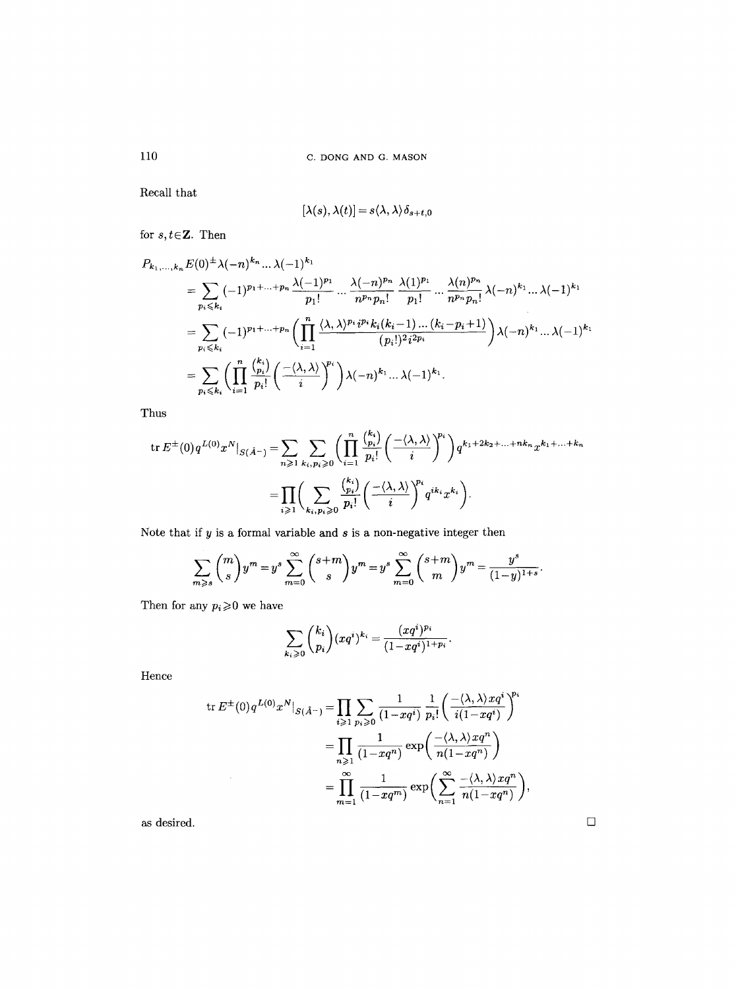110 C. DONG AND G. MASON

Recall that

$$
[\lambda(s),\lambda(t)]=s\langle\lambda,\lambda\rangle\delta_{s+t,0}
$$

for  $s, t \in \mathbb{Z}$ . Then

$$
P_{k_1,...,k_n} E(0)^{\pm} \lambda(-n)^{k_n} ... \lambda(-1)^{k_1}
$$
  
=  $\sum_{p_i \leq k_i} (-1)^{p_1 + ... + p_n} \frac{\lambda(-1)^{p_1}}{p_1!} ... \frac{\lambda(-n)^{p_n}}{n^{p_n} p_n!} \frac{\lambda(1)^{p_1}}{p_1!} ... \frac{\lambda(n)^{p_n}}{n^{p_n} p_n!} \lambda(-n)^{k_1} ... \lambda(-1)^{k_1}$   
=  $\sum_{p_i \leq k_i} (-1)^{p_1 + ... + p_n} \left( \prod_{i=1}^n \frac{\langle \lambda, \lambda \rangle^{p_i} i^{p_i} k_i(k_i-1) ... (k_i - p_i + 1)}{(p_i!)^2 i^{2p_i}} \right) \lambda(-n)^{k_1} ... \lambda(-1)^{k_1}$   
=  $\sum_{p_i \leq k_i} \left( \prod_{i=1}^n \frac{\binom{k_i}{p_i}}{p_i!} \left( \frac{-\langle \lambda, \lambda \rangle}{i} \right)^{p_i} \right) \lambda(-n)^{k_1} ... \lambda(-1)^{k_1}$ .

Thus

$$
\operatorname{tr} E^{\pm}(0) q^{L(0)} x^N \big|_{S(\hat{A}^{-})} = \sum_{n \geq 1} \sum_{k_i, p_i \geq 0} \left( \prod_{i=1}^n \frac{\binom{k_i}{p_i}}{p_i!} \left( \frac{-\langle \lambda, \lambda \rangle}{i} \right)^{p_i} \right) q^{k_1 + 2k_2 + \dots + nk_n} x^{k_1 + \dots + k_n}
$$

$$
= \prod_{i \geq 1} \left( \sum_{k_i, p_i \geq 0} \frac{\binom{k_i}{p_i}}{p_i!} \left( \frac{-\langle \lambda, \lambda \rangle}{i} \right)^{p_i} q^{ik_i} x^{k_i} \right).
$$

Note that if  $y$  is a formal variable and  $s$  is a non-negative integer then

$$
\sum_{m\geqslant s} \binom{m}{s} y^m = y^s \sum_{m=0}^{\infty} \binom{s+m}{s} y^m = y^s \sum_{m=0}^{\infty} \binom{s+m}{m} y^m = \frac{y^s}{(1-y)^{1+s}}.
$$

Then for any  $p_i\!\geqslant\!0$  we have

$$
\sum_{k_i \geqslant 0} \binom{k_i}{p_i} (xq^i)^{k_i} = \frac{(xq^i)^{p_i}}{(1 - xq^i)^{1 + p_i}}.
$$

Hence

$$
\operatorname{tr} E^{\pm}(0) q^{L(0)} x^N|_{S(\hat{A}^{-})} = \prod_{i \geq 1} \sum_{p_i \geq 0} \frac{1}{(1 - xq^i)} \frac{1}{p_i!} \left( \frac{-\langle \lambda, \lambda \rangle x q^i}{i(1 - xq^i)} \right)^{p_i}
$$

$$
= \prod_{n \geq 1} \frac{1}{(1 - xq^n)} \exp\left( \frac{-\langle \lambda, \lambda \rangle x q^n}{n(1 - xq^n)} \right)
$$

$$
= \prod_{m=1}^{\infty} \frac{1}{(1 - xq^m)} \exp\left( \sum_{n=1}^{\infty} \frac{-\langle \lambda, \lambda \rangle x q^n}{n(1 - xq^n)} \right),
$$

as desired.  $% \alpha$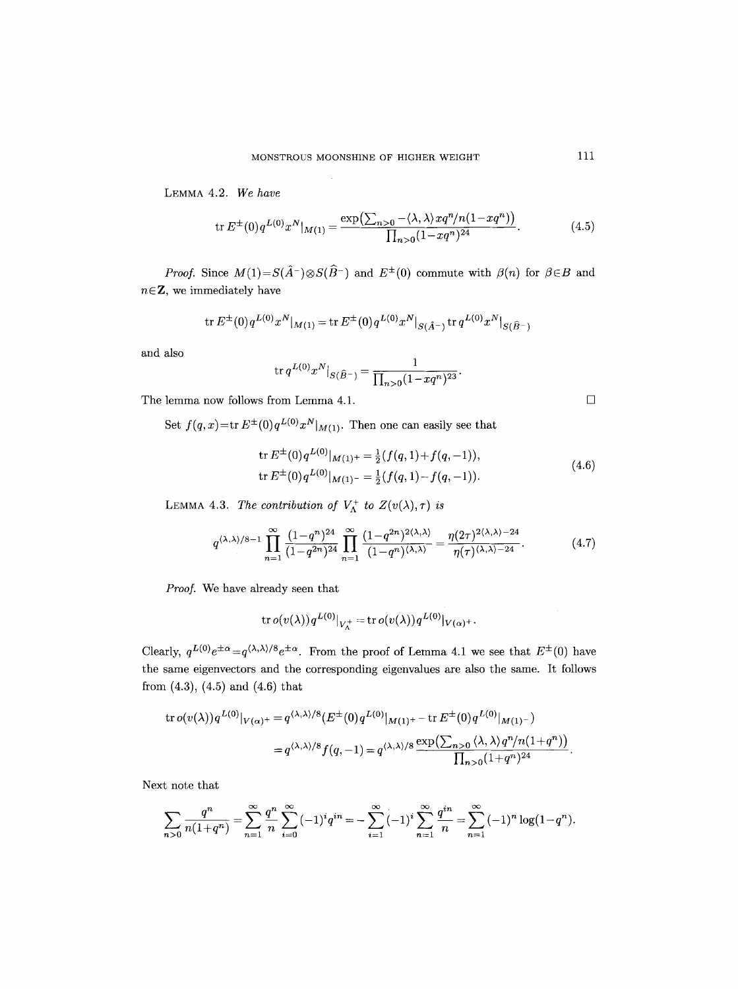LEMMA 4.2. *We have* 

$$
\text{tr}\, E^{\pm}(0) q^{L(0)} x^N |_{M(1)} = \frac{\exp\left(\sum_{n>0} - \langle \lambda, \lambda \rangle x q^n / n(1 - x q^n) \right)}{\prod_{n>0} (1 - x q^n)^{24}}.
$$
 (4.5)

*Proof.* Since  $M(1) = S(\hat{A}^{-}) \otimes S(\hat{B}^{-})$  and  $E^{\pm}(0)$  commute with  $\beta(n)$  for  $\beta \in B$  and  $n \in \mathbb{Z}$ , we immediately have

$$
\mathrm{tr} \, E^{\pm}(0) q^{L(0)} x^N |_{M(1)} = \mathrm{tr} \, E^{\pm}(0) q^{L(0)} x^N |_{S(\hat{A}^-)} \, \mathrm{tr} \, q^{L(0)} x^N |_{S(\hat{B}^-)}
$$

and also

$$
\operatorname{tr} q^{L(0)} x^N|_{S(\widehat{B}^-)} = \frac{1}{\prod_{n>0} (1-xq^n)^{23}}.
$$

The lemma now follows from Lemma 4.1.  $\Box$ 

Set  $f(q, x) = \text{tr } E^{\pm}(0) q^{L(0)} x^N |_{M(1)}$ . Then one can easily see that

$$
\text{tr}\, E^{\pm}(0) q^{L(0)}|_{M(1)^{+}} = \frac{1}{2} (f(q, 1) + f(q, -1)),
$$
\n
$$
\text{tr}\, E^{\pm}(0) q^{L(0)}|_{M(1)^{-}} = \frac{1}{2} (f(q, 1) - f(q, -1)).
$$
\n(4.6)

LEMMA 4.3. *The contribution of*  $V_{\Lambda}^{+}$  *to*  $Z(v(\lambda), \tau)$  *is* 

$$
q^{\langle\lambda,\lambda\rangle/8-1} \prod_{n=1}^{\infty} \frac{(1-q^n)^{24}}{(1-q^{2n})^{24}} \prod_{n=1}^{\infty} \frac{(1-q^{2n})^{2\langle\lambda,\lambda\rangle}}{(1-q^n)^{\langle\lambda,\lambda\rangle}} = \frac{\eta(2\tau)^{2\langle\lambda,\lambda\rangle-24}}{\eta(\tau)^{\langle\lambda,\lambda\rangle-24}}.
$$
 (4.7)

*Proof.* We have already seen that

$$
\operatorname{tr} o(v(\lambda))q^{L(0)}|_{V_{\Lambda}^{+}}=\operatorname{tr} o(v(\lambda))q^{L(0)}|_{V(\alpha)^+}.
$$

Clearly,  $q^{L(0)}e^{\pm\alpha} = q^{\langle\lambda,\lambda\rangle/8}e^{\pm\alpha}$ . From the proof of Lemma 4.1 we see that  $E^{\pm}(0)$  have the same eigenvectors and the corresponding eigenvalues are also the same. It follows from (4.3), (4.5) and (4.6) that

$$
\begin{split} \operatorname{tr} o(v(\lambda)) q^{L(0)} |_{V(\alpha)^+} &= q^{\langle \lambda, \lambda \rangle / 8} (E^\pm(0) q^{L(0)} |_{M(1)^+} - \operatorname{tr} E^\pm(0) q^{L(0)} |_{M(1)^-}) \\ &= q^{\langle \lambda, \lambda \rangle / 8} f(q, -1) = q^{\langle \lambda, \lambda \rangle / 8} \frac{\exp\bigl(\sum_{n > 0} \langle \lambda, \lambda \rangle q^n / n (1 + q^n) \bigr)}{\prod_{n > 0} (1 + q^n)^{24}}. \end{split}
$$

Next note that

$$
\sum_{n>0} \frac{q^n}{n(1+q^n)} = \sum_{n=1}^{\infty} \frac{q^n}{n} \sum_{i=0}^{\infty} (-1)^i q^{in} = -\sum_{i=1}^{\infty} (-1)^i \sum_{n=1}^{\infty} \frac{q^{in}}{n} = \sum_{n=1}^{\infty} (-1)^n \log(1-q^n).
$$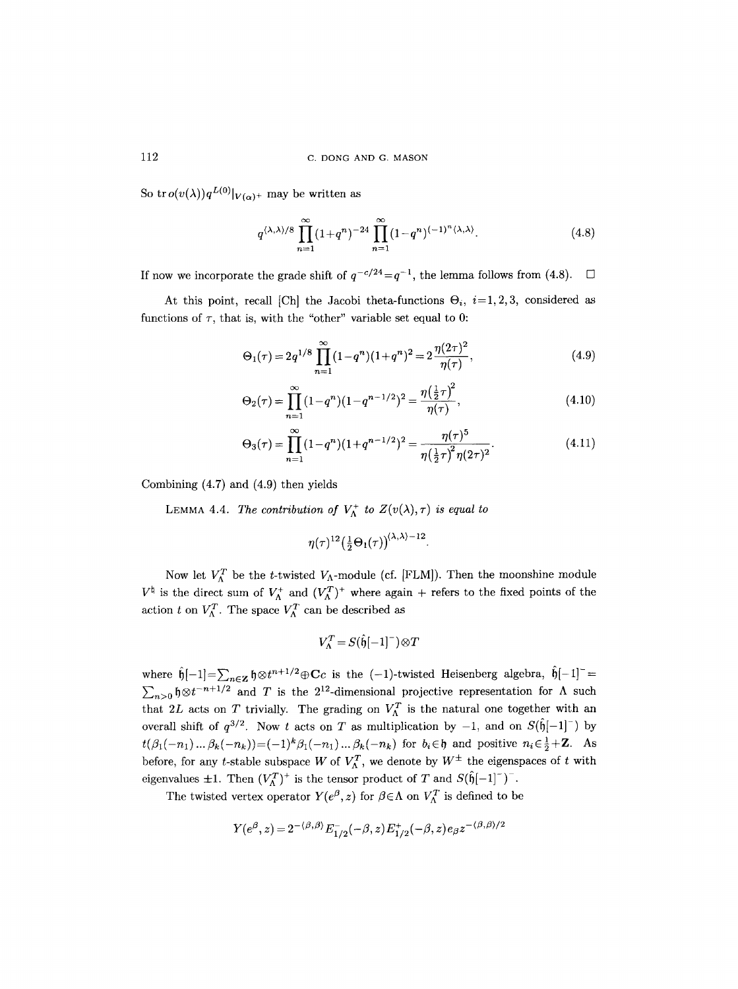So tr  $o(v(\lambda))q^{L(0)}|_{V(\alpha)^+}$  may be written as

$$
q^{\langle \lambda,\lambda\rangle/8} \prod_{n=1}^{\infty} (1+q^n)^{-24} \prod_{n=1}^{\infty} (1-q^n)^{(-1)^n \langle \lambda,\lambda\rangle}.
$$
 (4.8)

If now we incorporate the grade shift of  $q^{-c/24}=q^{-1}$ , the lemma follows from (4.8).  $\Box$ 

At this point, recall [Ch] the Jacobi theta-functions  $\Theta_i$ , i=1,2,3, considered as functions of  $\tau$ , that is, with the "other" variable set equal to 0:

$$
\Theta_1(\tau) = 2q^{1/8} \prod_{n=1}^{\infty} (1 - q^n)(1 + q^n)^2 = 2 \frac{\eta(2\tau)^2}{\eta(\tau)},
$$
\n(4.9)

$$
\Theta_2(\tau) = \prod_{n=1}^{\infty} (1 - q^n)(1 - q^{n-1/2})^2 = \frac{\eta(\frac{1}{2}\tau)^2}{\eta(\tau)},
$$
\n(4.10)

$$
\Theta_3(\tau) = \prod_{n=1}^{\infty} (1 - q^n)(1 + q^{n-1/2})^2 = \frac{\eta(\tau)^5}{\eta(\frac{1}{2}\tau)^2 \eta(2\tau)^2}.
$$
\n(4.11)

Combining (4.7) and (4.9) then yields

LEMMA 4.4. *The contribution of*  $V_{\Lambda}^+$  to  $Z(v(\lambda), \tau)$  is equal to

$$
\eta(\tau)^{12} \big( \tfrac{1}{2} \Theta_1(\tau) \big)^{\langle \lambda, \lambda \rangle -12}
$$

Now let  $V_{\Lambda}^{T}$  be the t-twisted  $V_{\Lambda}$ -module (cf. [FLM]). Then the moonshine module  $V^{\dagger}$  is the direct sum of  $V_{\Lambda}^{+}$  and  $(V_{\Lambda}^{T})^{+}$  where again + refers to the fixed points of the action t on  $V_{\Lambda}^{T}$ . The space  $V_{\Lambda}^{T}$  can be described as

$$
V_\Lambda^T\!=\!S(\hat{\mathfrak{h}}\!\!\;{[-1]}\!^-)\!\otimes\!T
$$

where  $\mathfrak{h}[-1]=\sum_{n\in\mathbb{Z}}\mathfrak{h}\otimes t^{n+1/2}\oplus\mathbf{C}c$  is the  $(-1)$ -twisted Heisenberg algebra,  $\mathfrak{h}[-1]=$  $\sum_{n>0}$   $\oint \otimes t^{-n+1/2}$  and T is the  $2^{12}$ -dimensional projective representation for A such that 2L acts on T trivially. The grading on  $V_{\Lambda}^T$  is the natural one together with an overall shift of  $q^{3/2}$ . Now t acts on T as multiplication by  $-1$ , and on  $S(\hat{\mathfrak{h}}[-1])$  by  $t(\beta_1(-n_1)... \beta_k(-n_k)) = (-1)^k \beta_1(-n_1)... \beta_k(-n_k)$  for  $b_i \in \mathfrak{h}$  and positive  $n_i \in \frac{1}{2} + \mathbb{Z}$ . As before, for any t-stable subspace W of  $V_{\Lambda}^T$ , we denote by  $W^{\pm}$  the eigenspaces of t with eigenvalues  $\pm 1$ . Then  $(V_{\Lambda}^T)^+$  is the tensor product of T and  $S(\hat{\mathfrak{h}}[-1]^{-})^-$ .

The twisted vertex operator  $Y(e^{\beta}, z)$  for  $\beta \in \Lambda$  on  $V_{\Lambda}^{T}$  is defined to be

$$
Y(e^{\beta}, z) = 2^{-(\beta, \beta)} E_{1/2}^{-}(-\beta, z) E_{1/2}^{+}(-\beta, z) e_{\beta} z^{-(\beta, \beta)/2}
$$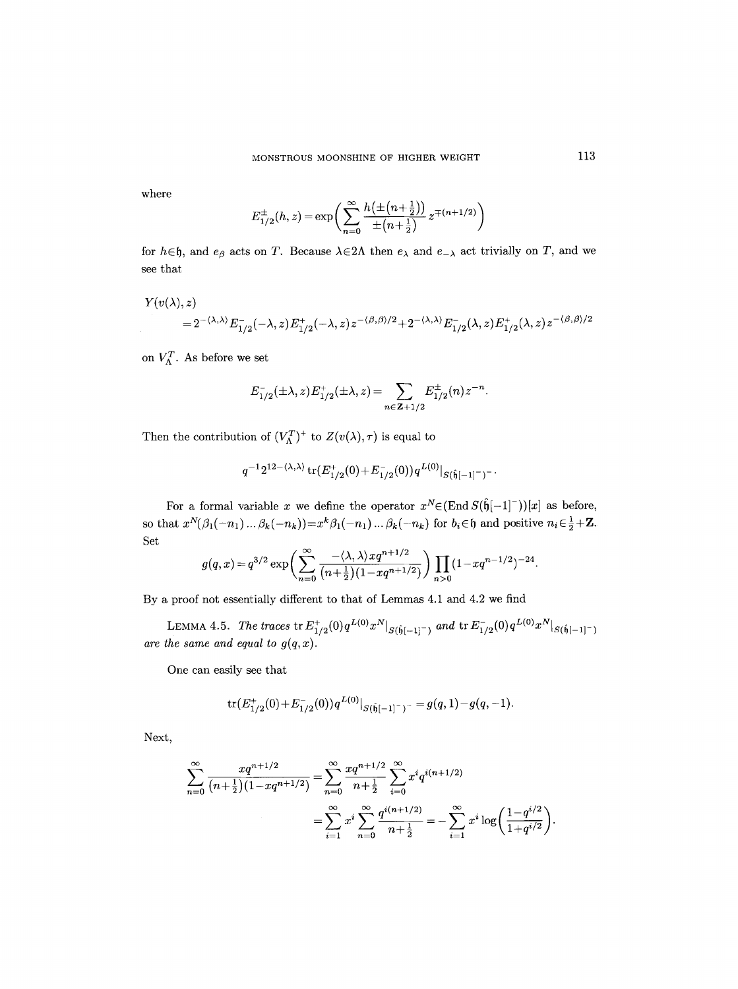where

$$
E_{1/2}^{\pm}(h,z) = \exp\left(\sum_{n=0}^{\infty} \frac{h(\pm (n+\frac{1}{2}))}{\pm (n+\frac{1}{2})} z^{\mp (n+1/2)}\right)
$$

for  $h \in \mathfrak{h}$ , and  $e_{\beta}$  acts on T. Because  $\lambda \in 2\Lambda$  then  $e_{\lambda}$  and  $e_{-\lambda}$  act trivially on T, and we see that

$$
\begin{split} Y(v(\lambda),z) \\ = & \ 2^{-\langle \lambda, \lambda \rangle} E_{1/2}^-( -\lambda,z) E_{1/2}^+(-\lambda,z) \, z^{-\langle \beta, \beta \rangle/2} + 2^{-\langle \lambda, \lambda \rangle} E_{1/2}^-(\lambda,z) E_{1/2}^+(\lambda,z) \, z^{-\langle \beta, \beta \rangle/2} \end{split}
$$

on  $V_{\Lambda}^T$ . As before we set

$$
E_{1/2}^{-}(\pm\lambda,z)E_{1/2}^{+}(\pm\lambda,z)=\sum_{n\in\mathbf{Z}+1/2}E_{1/2}^{\pm}(n)z^{-n}.
$$

Then the contribution of  $(V_{\Lambda}^T)^+$  to  $Z(v(\lambda), \tau)$  is equal to

$$
q^{-1}2^{12 - \langle \lambda, \lambda \rangle} \operatorname{tr}(E_{1/2}^+(0) + E_{1/2}^-(0)) q^{L(0)} |_{S(\hat{\mathfrak{h}}[-1]^-)^-}.
$$

For a formal variable x we define the operator  $x^N \in (\text{End } S(\hat{\theta}[-1]^-))[x]$  as before, so that  $x^N(\beta_1(-n_1) \dots \beta_k(-n_k)) = x^k \beta_1(-n_1) \dots \beta_k(-n_k)$  for  $b_i \in \mathfrak{h}$  and positive  $n_i \in \frac{1}{2} + \mathbb{Z}$ . Set

$$
g(q,x) = q^{3/2} \exp \left( \sum_{n=0}^{\infty} \frac{-\langle \lambda, \lambda \rangle x q^{n+1/2}}{(n+\frac{1}{2})(1-xq^{n+1/2})} \right) \prod_{n>0} (1-xq^{n-1/2})^{-24}.
$$

By a proof not essentially different to that of Lemmas 4.1 and 4.2 we find

LEMMA 4.5. *The traces* tr $E^+_{1/2}(0)q^{L(0)}x^N|_{S(\hat{\mathfrak{h}}[-1]^+)}$  and tr $E^-_{1/2}(0)q^{L(0)}x^N|_{S(\hat{\mathfrak{h}}[-1]^+)}$ are the same and equal to  $g(q, x)$ .

One can easily see that

$$
\operatorname{tr}(E_{1/2}^+(0)+E_{1/2}^-(0))q^{L(0)}|_{S(\hat{\mathfrak{h}}[-1]^-)^-}=g(q,1)-g(q,-1).
$$

**Next,** 

$$
\sum_{n=0}^{\infty} \frac{xq^{n+1/2}}{(n+\frac{1}{2})(1-xq^{n+1/2})} = \sum_{n=0}^{\infty} \frac{xq^{n+1/2}}{n+\frac{1}{2}} \sum_{i=0}^{\infty} x^i q^{i(n+1/2)}
$$

$$
= \sum_{i=1}^{\infty} x^i \sum_{n=0}^{\infty} \frac{q^{i(n+1/2)}}{n+\frac{1}{2}} = -\sum_{i=1}^{\infty} x^i \log \left( \frac{1-q^{i/2}}{1+q^{i/2}} \right).
$$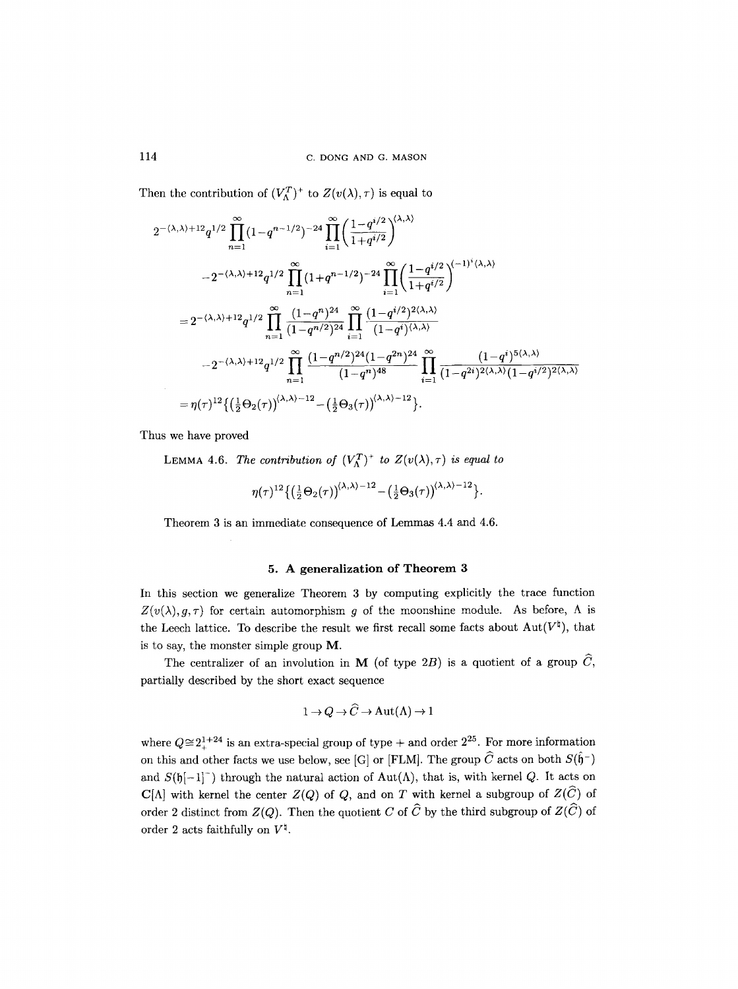Then the contribution of  $(V_{\Lambda}^T)^+$  to  $Z(v(\lambda), \tau)$  is equal to

$$
2^{-(\lambda,\lambda)+12}q^{1/2}\prod_{n=1}^{\infty}(1-q^{n-1/2})^{-24}\prod_{i=1}^{\infty}\left(\frac{1-q^{i/2}}{1+q^{i/2}}\right)^{(\lambda,\lambda)}
$$
  

$$
-2^{-(\lambda,\lambda)+12}q^{1/2}\prod_{n=1}^{\infty}(1+q^{n-1/2})^{-24}\prod_{i=1}^{\infty}\left(\frac{1-q^{i/2}}{1+q^{i/2}}\right)^{(-1)^{i}\langle\lambda,\lambda\rangle}
$$
  

$$
=2^{-(\lambda,\lambda)+12}q^{1/2}\prod_{n=1}^{\infty}\frac{(1-q^{n})^{24}}{(1-q^{n/2})^{24}}\prod_{i=1}^{\infty}\frac{(1-q^{i/2})^{2\langle\lambda,\lambda\rangle}}{(1-q^{i})^{\langle\lambda,\lambda\rangle}}
$$
  

$$
-2^{-(\lambda,\lambda)+12}q^{1/2}\prod_{n=1}^{\infty}\frac{(1-q^{n/2})^{24}(1-q^{2n})^{24}}{(1-q^{n})^{48}}\prod_{i=1}^{\infty}\frac{(1-q^{i})^{5\langle\lambda,\lambda\rangle}}{(1-q^{2i})^{2\langle\lambda,\lambda\rangle}(1-q^{i/2})^{2\langle\lambda,\lambda\rangle}}
$$
  

$$
=\eta(\tau)^{12}\left\{\left(\frac{1}{2}\Theta_{2}(\tau)\right)^{(\lambda,\lambda)-12}-\left(\frac{1}{2}\Theta_{3}(\tau)\right)^{(\lambda,\lambda)-12}\right\}.
$$

Thus we have proved

LEMMA 4.6. The contribution of  $(V_A^T)^+$  to  $Z(v(\lambda),\tau)$  is equal to

$$
\eta(\tau)^{12}\big\{\big(\tfrac{1}{2}\Theta_2(\tau)\big)^{(\lambda,\lambda)-12}-\big(\tfrac{1}{2}\Theta_3(\tau)\big)^{(\lambda,\lambda)-12}\big\}.
$$

Theorem 3 is an immediate consequence of Lemmas 4.4 and 4.6.

# 5. A generalization of Theorem 3

In this section we generalize Theorem 3 by computing explicitly the trace function  $Z(v(\lambda),g,\tau)$  for certain automorphism g of the moonshine module. As before,  $\Lambda$  is the Leech lattice. To describe the result we first recall some facts about  $Aut(V^{\natural})$ , that is to say, the monster simple group M.

The centralizer of an involution in M (of type 2B) is a quotient of a group  $\widehat{C}$ , partially described by the short exact sequence

$$
1 \to Q \to \widehat{C} \to \text{Aut}(\Lambda) \to 1
$$

where  $Q \approx 2^{1+24}$  is an extra-special group of type + and order  $2^{25}$ . For more information on this and other facts we use below, see [G] or [FLM]. The group  $\widehat{C}$  acts on both  $S(\widehat{\mathfrak{h}}^-)$ and  $S(\mathfrak{h}[-1]^-)$  through the natural action of Aut( $\Lambda$ ), that is, with kernel Q. It acts on  $C[\Lambda]$  with kernel the center  $Z(Q)$  of Q, and on T with kernel a subgroup of  $Z(\widehat{C})$  of order 2 distinct from  $Z(Q)$ . Then the quotient C of  $\widehat{C}$  by the third subgroup of  $Z(\widehat{C})$  of order 2 acts faithfully on  $V^{\natural}$ .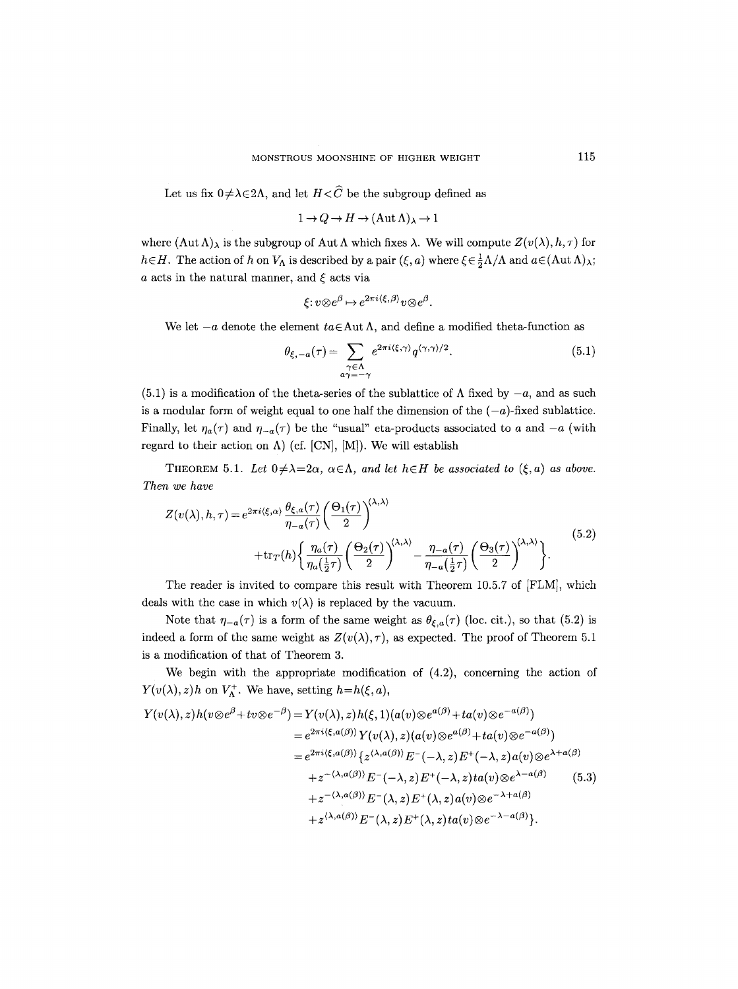Let us fix  $0 \neq \lambda \in 2\Lambda$ , and let  $H \lt \widehat{C}$  be the subgroup defined as

$$
1 \to Q \to H \to (\operatorname{Aut} \Lambda)_{\lambda} \to 1
$$

where  $(\text{Aut } \Lambda)_{\lambda}$  is the subgroup of Aut  $\Lambda$  which fixes  $\lambda$ . We will compute  $Z(v(\lambda), h, \tau)$  for  $h\in H$ . The action of h on  $V_{\Lambda}$  is described by a pair  $(\xi, a)$  where  $\xi \in \frac{1}{2}\Lambda/\Lambda$  and  $a \in (\text{Aut } \Lambda)_{\lambda}$ ;  $a$  acts in the natural manner, and  $\xi$  acts via

$$
\xi: v \otimes e^{\beta} \mapsto e^{2\pi i \langle \xi, \beta \rangle} v \otimes e^{\beta}.
$$

We let  $-a$  denote the element  $ta \in Aut$  A, and define a modified theta-function as

$$
\theta_{\xi, -a}(\tau) = \sum_{\substack{\gamma \in \Lambda \\ a\gamma = -\gamma}} e^{2\pi i \langle \xi, \gamma \rangle} q^{\langle \gamma, \gamma \rangle/2}.
$$
\n(5.1)

(5.1) is a modification of the theta-series of the sublattice of  $\Lambda$  fixed by  $-a$ , and as such is a modular form of weight equal to one half the dimension of the  $(-a)$ -fixed sublattice. Finally, let  $\eta_a(\tau)$  and  $\eta_{-a}(\tau)$  be the "usual" eta-products associated to a and  $-a$  (with regard to their action on  $\Lambda$ ) (cf. [CN], [M]). We will establish

THEOREM 5.1. Let  $0 \neq \lambda = 2\alpha$ ,  $\alpha \in \Lambda$ , and let  $h \in H$  be associated to  $(\xi, a)$  as above. *Then we have* 

$$
Z(v(\lambda), h, \tau) = e^{2\pi i \langle \xi, \alpha \rangle} \frac{\theta_{\xi, a}(\tau)}{\eta_{-a}(\tau)} \left( \frac{\Theta_1(\tau)}{2} \right)^{\langle \lambda, \lambda \rangle} + \text{tr}_{T}(h) \left\{ \frac{\eta_a(\tau)}{\eta_a(\frac{1}{2}\tau)} \left( \frac{\Theta_2(\tau)}{2} \right)^{\langle \lambda, \lambda \rangle} - \frac{\eta_{-a}(\tau)}{\eta_{-a}(\frac{1}{2}\tau)} \left( \frac{\Theta_3(\tau)}{2} \right)^{\langle \lambda, \lambda \rangle} \right\}.
$$
\n(5.2)

The reader is invited to compare this result with Theorem 10.5.7 of [FLM], which deals with the case in which  $v(\lambda)$  is replaced by the vacuum.

Note that  $\eta_{-a}(\tau)$  is a form of the same weight as  $\theta_{\xi,a}(\tau)$  (loc. cit.), so that (5.2) is indeed a form of the same weight as  $Z(v(\lambda), \tau)$ , as expected. The proof of Theorem 5.1 is a modification of that of Theorem 3.

We begin with the appropriate modification of (4.2), concerning the action of  $Y(v(\lambda), z)h$  on  $V_{\Lambda}^+$ . We have, setting  $h=h(\xi, a)$ ,

$$
Y(v(\lambda),z)h(v\otimes e^{\beta}+tv\otimes e^{-\beta})=Y(v(\lambda),z)h(\xi,1)(a(v)\otimes e^{a(\beta)}+ta(v)\otimes e^{-a(\beta)})
$$
  
\n
$$
=e^{2\pi i\langle\xi,a(\beta)\rangle}Y(v(\lambda),z)(a(v)\otimes e^{a(\beta)}+ta(v)\otimes e^{-a(\beta)})
$$
  
\n
$$
=e^{2\pi i\langle\xi,a(\beta)\rangle}\{z^{\langle\lambda,a(\beta)\rangle}E^{-}(-\lambda,z)E^{+}(-\lambda,z)a(v)\otimes e^{\lambda+a(\beta)}
$$
  
\n
$$
+z^{-(\lambda,a(\beta))}E^{-}(-\lambda,z)E^{+}(-\lambda,z)ta(v)\otimes e^{\lambda-a(\beta)}
$$
  
\n
$$
+z^{-(\lambda,a(\beta))}E^{-}(\lambda,z)E^{+}(\lambda,z)a(v)\otimes e^{-\lambda+a(\beta)}
$$
  
\n
$$
+z^{\langle\lambda,a(\beta)\rangle}E^{-}(\lambda,z)E^{+}(\lambda,z)ta(v)\otimes e^{-\lambda-a(\beta)}\}.
$$
 (5.3)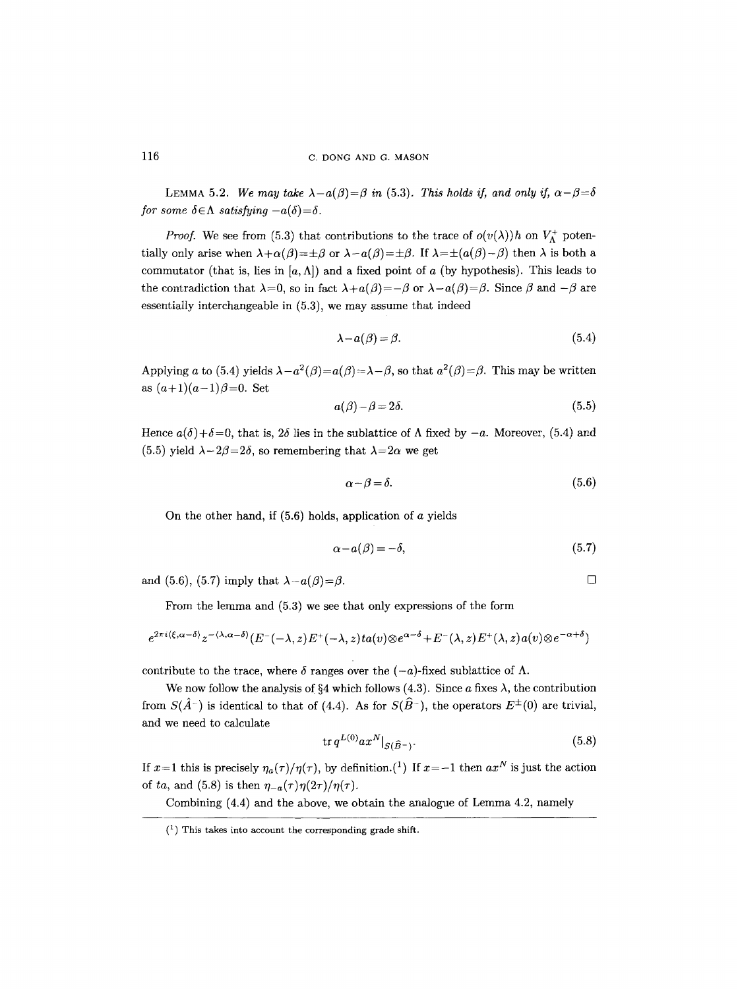LEMMA 5.2. *We may take*  $\lambda - a(\beta) = \beta$  in (5.3). *This holds if, and only if,*  $\alpha - \beta = \delta$ *for some*  $\delta \in \Lambda$  *satisfying*  $-a(\delta) = \delta$ .

*Proof.* We see from (5.3) that contributions to the trace of  $o(v(\lambda))h$  on  $V^+$  potentially only arise when  $\lambda + \alpha(\beta) = \pm \beta$  or  $\lambda - a(\beta) = \pm \beta$ . If  $\lambda = \pm (a(\beta) - \beta)$  then  $\lambda$  is both a commutator (that is, lies in  $[a, \Lambda]$ ) and a fixed point of a (by hypothesis). This leads to the contradiction that  $\lambda=0$ , so in fact  $\lambda+a(\beta)=-\beta$  or  $\lambda-a(\beta)=\beta$ . Since  $\beta$  and  $-\beta$  are essentially interchangeable in (5.3), we may assume that indeed

$$
\lambda - a(\beta) = \beta. \tag{5.4}
$$

Applying a to (5.4) yields  $\lambda - a^2(\beta) = a(\beta) = \lambda - \beta$ , so that  $a^2(\beta) = \beta$ . This may be written as  $(a+1)(a-1)\beta = 0$ . Set

$$
a(\beta) - \beta = 2\delta. \tag{5.5}
$$

Hence  $a(\delta)+\delta=0$ , that is,  $2\delta$  lies in the sublattice of  $\Lambda$  fixed by  $-a$ . Moreover, (5.4) and (5.5) yield  $\lambda-2\beta=2\delta$ , so remembering that  $\lambda=2\alpha$  we get

$$
\alpha - \beta = \delta. \tag{5.6}
$$

On the other hand, if  $(5.6)$  holds, application of a yields

$$
\alpha - a(\beta) = -\delta,\tag{5.7}
$$

*[]* 

and (5.6), (5.7) imply that  $\lambda-a(\beta)=\beta$ .

From the lemma and (5.3) we see that only expressions of the form

$$
e^{2\pi i \langle \xi, \alpha - \delta \rangle} z^{-\langle \lambda, \alpha - \delta \rangle} (E^{-}(-\lambda, z) E^{+}(-\lambda, z) t a(v) \otimes e^{\alpha - \delta} + E^{-}(\lambda, z) E^{+}(\lambda, z) a(v) \otimes e^{-\alpha + \delta})
$$

contribute to the trace, where  $\delta$  ranges over the  $(-a)$ -fixed sublattice of  $\Lambda$ .

We now follow the analysis of  $\S 4$  which follows (4.3). Since a fixes  $\lambda$ , the contribution from  $S(\hat{A}^-)$  is identical to that of (4.4). As for  $S(\hat{B}^-)$ , the operators  $E^{\pm}(0)$  are trivial, and we need to calculate

$$
\operatorname{tr} q^{L(0)} a x^N \big|_{S(\widehat{B}^-)}.\tag{5.8}
$$

If  $x=1$  this is precisely  $\eta_a(\tau)/\eta(\tau)$ , by definition.<sup>(1</sup>) If  $x=-1$  then  $ax^N$  is just the action of *ta*, and (5.8) is then  $\eta_{-a}(\tau)\eta(2\tau)/\eta(\tau)$ .

Combining (4.4) and the above, we obtain the analogue of Lemma 4.2, namely

 $(1)$  This takes into account the corresponding grade shift.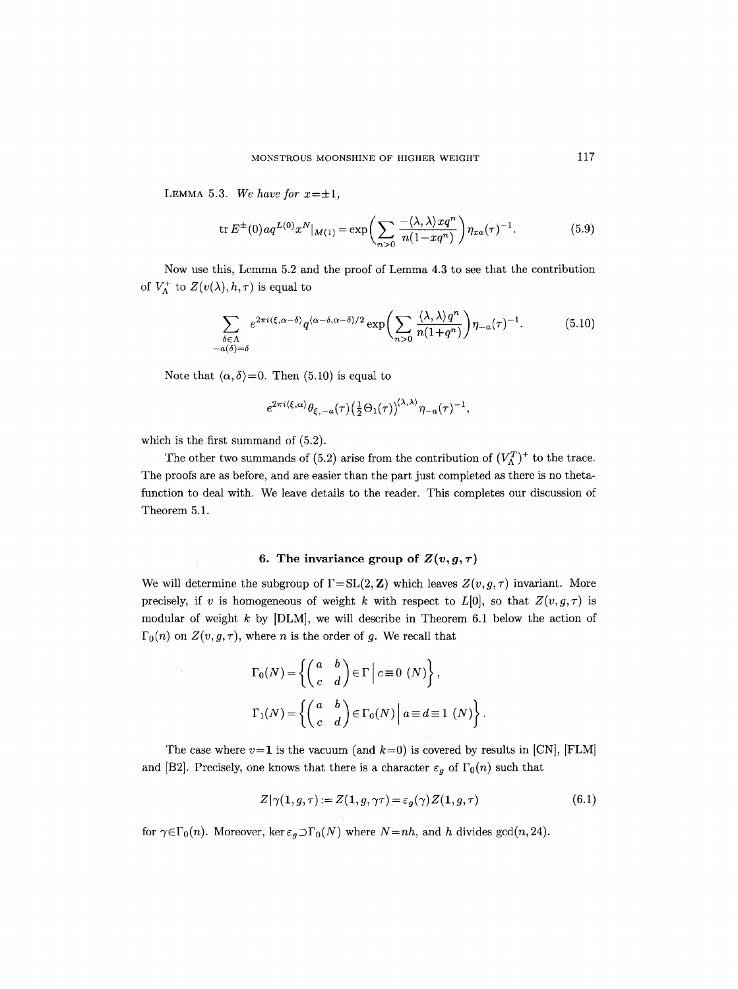LEMMA 5.3. We have for  $x=\pm 1$ ,

$$
\operatorname{tr} E^{\pm}(0) a q^{L(0)} x^N|_{M(1)} = \exp\left(\sum_{n>0} \frac{-\langle \lambda, \lambda \rangle x q^n}{n(1 - x q^n)}\right) \eta_{xa}(\tau)^{-1}.
$$
 (5.9)

Now use this, Lemma 5.2 and the proof of Lemma 4.3 to see that the contribution of  $V_{\Lambda}^+$  to  $Z(v(\lambda), h, \tau)$  is equal to

$$
\sum_{\substack{\delta \in \Lambda \\ -a(\delta)=\delta}} e^{2\pi i \langle \xi, \alpha-\delta \rangle} q^{\langle \alpha-\delta, \alpha-\delta \rangle/2} \exp\left(\sum_{n>0} \frac{\langle \lambda, \lambda \rangle q^n}{n(1+q^n)}\right) \eta_{-a}(\tau)^{-1}.\tag{5.10}
$$

Note that  $\langle \alpha, \delta \rangle = 0$ . Then (5.10) is equal to

$$
e^{2\pi i \langle \xi,\alpha \rangle} \theta_{\xi,-a}(\tau) \left(\frac{1}{2} \Theta_1(\tau)\right)^{\langle \lambda,\lambda \rangle} \eta_{-a}(\tau)^{-1},
$$

which is the first summand of (5.2).

The other two summands of (5.2) arise from the contribution of  $(V_A^T)^+$  to the trace. The proofs are as before, and are easier than the part just completed as there is no thetafunction to deal with. We leave details to the reader. This completes our discussion of Theorem 5.1.

# **6.** The invariance group of  $Z(v, g, \tau)$

We will determine the subgroup of  $\Gamma = SL(2, \mathbb{Z})$  which leaves  $Z(v, g, \tau)$  invariant. More precisely, if v is homogeneous of weight k with respect to  $L[0]$ , so that  $Z(v,g,\tau)$  is modular of weight  $k$  by  $[DLM]$ , we will describe in Theorem 6.1 below the action of  $\Gamma_0(n)$  on  $Z(v, g, \tau)$ , where *n* is the order of *g*. We recall that

$$
\Gamma_0(N) = \left\{ \begin{pmatrix} a & b \\ c & d \end{pmatrix} \in \Gamma \mid c \equiv 0 \ (N) \right\},\
$$

$$
\Gamma_1(N) = \left\{ \begin{pmatrix} a & b \\ c & d \end{pmatrix} \in \Gamma_0(N) \mid a \equiv d \equiv 1 \ (N) \right\}.
$$

The case where  $v=1$  is the vacuum (and  $k=0$ ) is covered by results in [CN], [FLM] and [B2]. Precisely, one knows that there is a character  $\varepsilon_g$  of  $\Gamma_0(n)$  such that

$$
Z|\gamma(1,g,\tau) := Z(1,g,\gamma\tau) = \varepsilon_g(\gamma)Z(1,g,\tau) \tag{6.1}
$$

for  $\gamma \in \Gamma_0(n)$ . Moreover, ker  $\varepsilon_g \supset \Gamma_0(N)$  where  $N = nh$ , and h divides gcd(n, 24).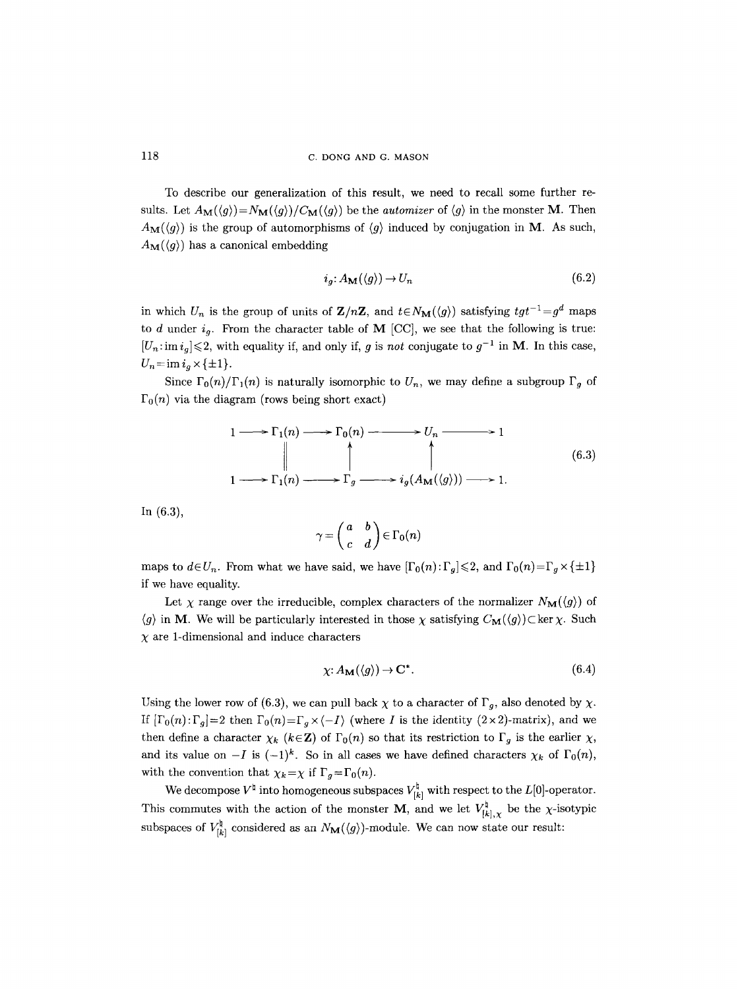To describe our generalization of this result, we need to recall some further results. Let  $A_M(\langle g \rangle) = N_M(\langle g \rangle) / C_M(\langle g \rangle)$  be the *automizer* of  $\langle g \rangle$  in the monster **M**. Then  $A_{\mathbf{M}}(\langle g \rangle)$  is the group of automorphisms of  $\langle g \rangle$  induced by conjugation in M. As such,  $A_{\mathbf{M}}(\langle g \rangle)$  has a canonical embedding

$$
i_g: A_{\mathbf{M}}(\langle g \rangle) \to U_n \tag{6.2}
$$

in which  $U_n$  is the group of units of  $\mathbf{Z}/n\mathbf{Z}$ , and  $t \in N_\mathbf{M}(\langle g \rangle)$  satisfying  $tgt^{-1}=g^d$  maps to d under  $i_q$ . From the character table of M [CC], we see that the following is true:  $|U_n: \text{im } i_q| \leq 2$ , with equality if, and only if, g is *not* conjugate to  $g^{-1}$  in M. In this case,  $U_n = \text{im } i_a \times \{\pm 1\}.$ 

Since  $\Gamma_0(n)/\Gamma_1(n)$  is naturally isomorphic to  $U_n$ , we may define a subgroup  $\Gamma_g$  of  $\Gamma_0(n)$  via the diagram (rows being short exact)

$$
1 \longrightarrow \Gamma_1(n) \longrightarrow \Gamma_0(n) \longrightarrow U_n \longrightarrow 1
$$
  
\n
$$
\downarrow \qquad \qquad \downarrow \qquad \qquad \downarrow
$$
  
\n
$$
1 \longrightarrow \Gamma_1(n) \longrightarrow \Gamma_g \longrightarrow i_g(A_M(\langle g \rangle)) \longrightarrow 1.
$$
  
\n(6.3)

In (6,3),

$$
\gamma = \begin{pmatrix} a & b \\ c & d \end{pmatrix} \in \Gamma_0(n)
$$

maps to  $d \in U_n$ . From what we have said, we have  $[\Gamma_0(n):\Gamma_q] \leq 2$ , and  $\Gamma_0(n)=\Gamma_q \times {\{\pm 1\}}$ if we have equality.

Let  $\chi$  range over the irreducible, complex characters of the normalizer  $N_{\mathbf{M}}(\langle g \rangle)$  of  $\langle g \rangle$  in **M**. We will be particularly interested in those  $\chi$  satisfying  $C_{\mathbf{M}}(\langle g \rangle) \subset \ker \chi$ . Such  $\chi$  are 1-dimensional and induce characters

$$
\chi: A_{\mathbf{M}}(\langle g \rangle) \to \mathbf{C}^*.
$$
\n(6.4)

Using the lower row of (6.3), we can pull back  $\chi$  to a character of  $\Gamma_q$ , also denoted by  $\chi$ . If  $[\Gamma_0(n):\Gamma_g]=2$  then  $\Gamma_0(n)=\Gamma_g\times\langle -I\rangle$  (where I is the identity  $(2\times 2)$ -matrix), and we then define a character  $\chi_k$  ( $k \in \mathbb{Z}$ ) of  $\Gamma_0(n)$  so that its restriction to  $\Gamma_g$  is the earlier  $\chi$ , and its value on  $-I$  is  $(-1)^k$ . So in all cases we have defined characters  $\chi_k$  of  $\Gamma_0(n)$ , with the convention that  $\chi_k = \chi$  if  $\Gamma_g = \Gamma_0(n)$ .

We decompose  $V^{\dagger}$  into homogeneous subspaces  $V^{\dagger}_{[k]}$  with respect to the  $L[0]$ -operator. This commutes with the action of the monster **M**, and we let  $V_{[k],\chi}^{\natural}$  be the  $\chi$ -isotypic subspaces of  $V_{[k]}^{\natural}$  considered as an  $N_{\mathbf{M}}(\langle g \rangle)$ -module. We can now state our result: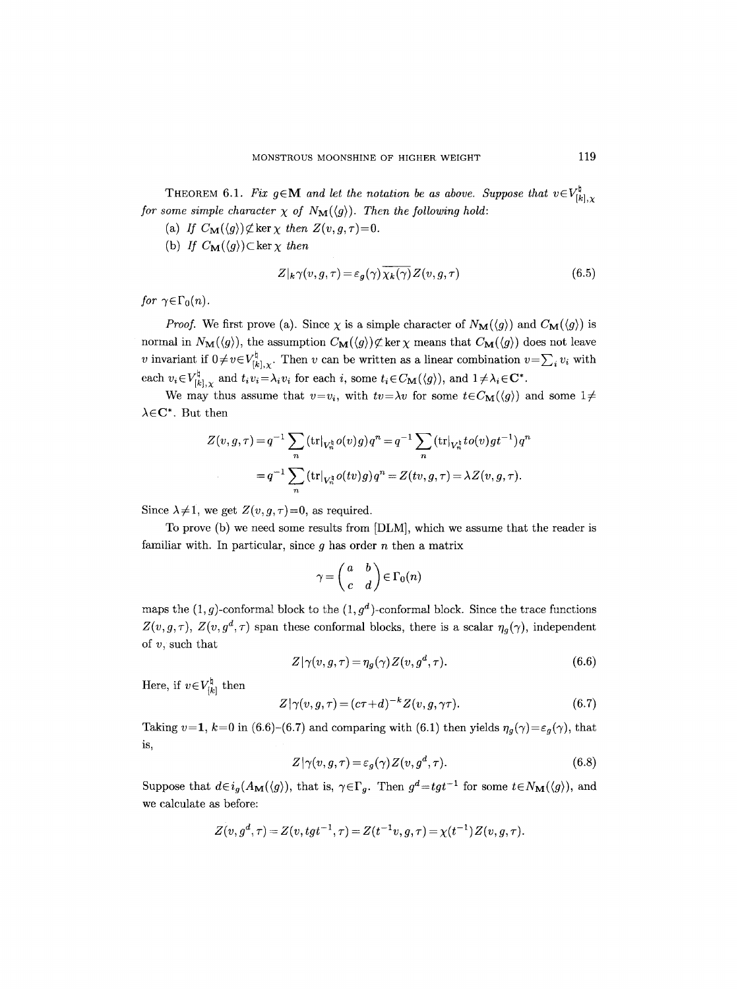THEOREM 6.1. *Fix*  $g \in \mathbf{M}$  and let the notation be as above. Suppose that  $v \in V_{[k],\chi}^{\natural}$ *for some simple character*  $\chi$  *of*  $N_M(\langle g \rangle)$ *. Then the following hold:* 

- (a) If  $C_{\mathbf{M}}(\langle g \rangle) \not\subset \text{ker } \chi$  then  $Z(v, g, \tau) = 0$ .
- (b) *If*  $C_M(\langle g \rangle) \subset \ker \chi$  then

$$
Z|_{k}\gamma(v,g,\tau) = \varepsilon_{g}(\gamma)\overline{\chi_{k}(\gamma)}Z(v,g,\tau)
$$
\n(6.5)

*for*  $\gamma \in \Gamma_0(n)$ *.* 

*Proof.* We first prove (a). Since  $\chi$  is a simple character of  $N_{\mathbf{M}}(\langle g \rangle)$  and  $C_{\mathbf{M}}(\langle g \rangle)$  is normal in  $N_{\mathbf{M}}(\langle g \rangle)$ , the assumption  $C_{\mathbf{M}}(\langle g \rangle) \not\subset \ker \chi$  means that  $C_{\mathbf{M}}(\langle g \rangle)$  does not leave v invariant if  $0 \neq v \in V^{\natural}_{[k],\chi}$ . Then v can be written as a linear combination  $v = \sum_i v_i$  with each  $v_i \in V_{[k],\chi}^{\natural}$  and  $t_i v_i = \lambda_i v_i$  for each i, some  $t_i \in C_{\mathbf{M}}(\langle g \rangle)$ , and  $1 \neq \lambda_i \in \mathbf{C}^*$ .

We may thus assume that  $v=v_i$ , with  $tv=\lambda v$  for some  $t\in C_{\mathbf{M}}(\langle g \rangle)$  and some  $1\neq$  $\lambda \in \mathbb{C}^*$ . But then

$$
Z(v, g, \tau) = q^{-1} \sum_{n} (\text{tr}|_{V_n^{\natural}} o(v)g) q^n = q^{-1} \sum_{n} (\text{tr}|_{V_n^{\natural}} to(v)gt^{-1}) q^n
$$
  
= 
$$
q^{-1} \sum_{n} (\text{tr}|_{V_n^{\natural}} o(tv)g) q^n = Z(tv, g, \tau) = \lambda Z(v, g, \tau).
$$

Since  $\lambda \neq 1$ , we get  $Z(v, g, \tau) = 0$ , as required.

To prove (b) we need some results from [DLM], which we assume that the reader is familiar with. In particular, since  $q$  has order  $n$  then a matrix

$$
\gamma = \begin{pmatrix} a & b \\ c & d \end{pmatrix} \in \Gamma_0(n)
$$

maps the  $(1, g)$ -conformal block to the  $(1, g<sup>d</sup>)$ -conformal block. Since the trace functions  $Z(v,g,\tau)$ ,  $Z(v,g^d,\tau)$  span these conformal blocks, there is a scalar  $\eta_q(\gamma)$ , independent of  $v$ , such that

$$
Z|\gamma(v,g,\tau) = \eta_g(\gamma)Z(v,g^d,\tau). \tag{6.6}
$$

Here, if  $v \in V_{[k]}^{\natural}$  then

$$
Z|\gamma(v,g,\tau)=(c\tau+d)^{-k}Z(v,g,\gamma\tau). \qquad (6.7)
$$

Taking  $v=1$ ,  $k=0$  in (6.6)-(6.7) and comparing with (6.1) then yields  $\eta_g(\gamma) = \varepsilon_g(\gamma)$ , that is,

$$
Z|\gamma(v,g,\tau) = \varepsilon_g(\gamma)Z(v,g^d,\tau). \tag{6.8}
$$

Suppose that  $d \in i_g(A_{\mathbf{M}}(\langle g \rangle))$ , that is,  $\gamma \in \Gamma_g$ . Then  $g^d = tgt^{-1}$  for some  $t \in N_{\mathbf{M}}(\langle g \rangle)$ , and we calculate as before:

$$
Z(v,g^d,\tau)=Z(v,tgt^{-1},\tau)=Z(t^{-1}v,g,\tau)=\chi(t^{-1})Z(v,g,\tau).
$$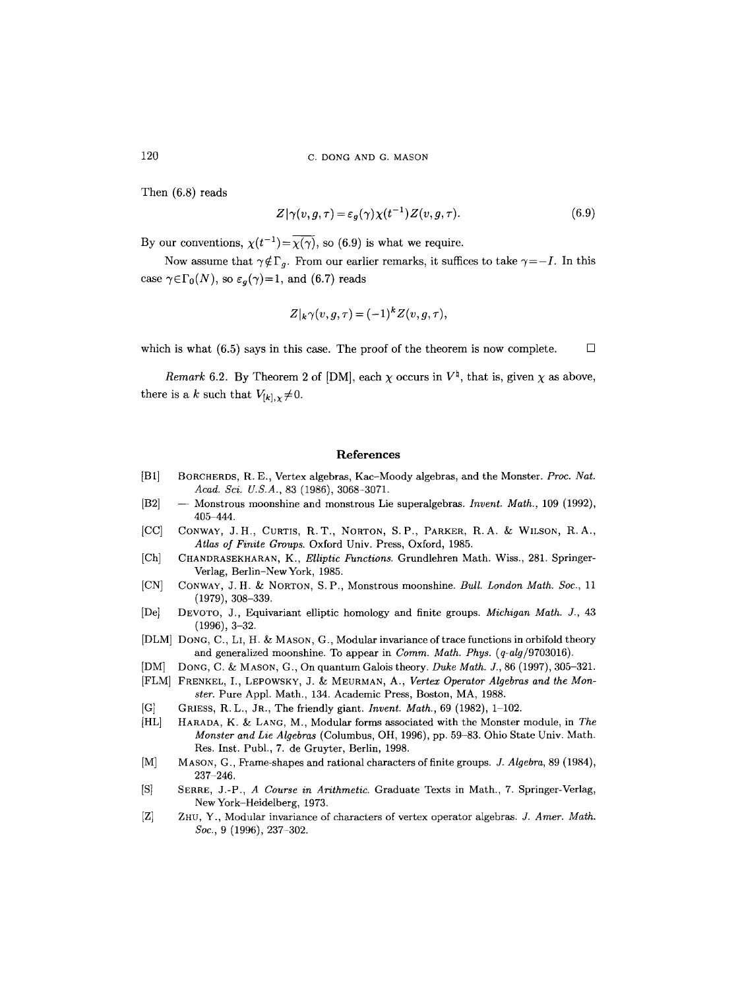Then (6.8) reads

$$
Z|\gamma(v,g,\tau)=\varepsilon_g(\gamma)\chi(t^{-1})Z(v,g,\tau). \tag{6.9}
$$

By our conventions,  $\chi(t^{-1})=\overline{\chi(\gamma)}$ , so (6.9) is what we require.

Now assume that  $\gamma \notin \Gamma_q$ . From our earlier remarks, it suffices to take  $\gamma = -I$ . In this case  $\gamma \in \Gamma_0(N)$ , so  $\varepsilon_q(\gamma)=1$ , and (6.7) reads

$$
Z|_{k}\gamma(v,g,\tau) = (-1)^{k}Z(v,g,\tau),
$$

which is what (6.5) says in this case. The proof of the theorem is now complete.  $\Box$ 

*Remark* 6.2. By Theorem 2 of [DM], each  $\chi$  occurs in  $V^{\natural}$ , that is, given  $\chi$  as above, there is a k such that  $V_{[k],\chi}\neq 0$ .

#### **References**

- **[B1]**  BORCHERDS, R. E., Vertex algebras, Kac-Moody algebras, and the Monster. *Proc. Nat. Acad. Sci. U.S.A.,* 83 (1986), 3068-3071.
- [B2] **--** Monstrous moonshine and monstrous Lie superalgebras. *Invent. Math.,* 109 (1992), 405 444.
- $[CC]$ CONWAY, J.H., CURTIS, R.T., NORTON, S.P., PARKER, R.A. & WILSON, R.A., *Atlas of Finite Groups.* Oxford Univ. Press, Oxford, 1985.
- [Ch] CHANDRASEKHARAN, K., *Elliptic Functions*. Grundlehren Math. Wiss., 281. Springer-Verlag, Berlin-NewYork, 1985.
- [CN] CONWAY, J.H. & NORTON, S.P., Monstrous moonshine. *Bull. London Math. Soc.*, 11 (1979), 308-339.
- [De] DEVOTO, J., Equivariant elliptic homology and finite groups. *Michigan Math. J.,* 43 (1996), 3-32.
- [DLM] DONG, C., LI, H. & MASON, G., Modular invariance of trace functions in orbifold theory and generalized moonshine. To appear in *Comm. Math. Phys. (q-alg/9703016).*
- [DM] DONG, C. ~ MASON, G., On quantum Galois theory. *Duke Math. J.,* 86 (1997), 305-321.
- [FLM] FRENKEL, I., LEPOWSKY, J. & MEURMAN, A., *Vertex Operator Algebras and the Monster.* Pure Appl. Math., 134. Academic Press, Boston, MA, 1988.
- $|G|$ GRIESS, R.L., JR., The friendly giant. *Invent. Math.,* 69 (1982), 1-102.
- [HL] HARADA, K. & LANG, M., Modular forms associated with the Monster module, in *The Monster and Lie Algebras* (Columbus, OH, 1996), pp. 59-83. Ohio State Univ. Math. Res. Inst. Publ., 7. de Gruyter, Berlin, 1998.
- $[M]$ MASON, G., Frame-shapes and rational characters of finite groups. *J. Algebra,* 89 (1984), 237-246.
- IS] SERRE, J.-P., *A Course in Arithmetic.* Graduate Texts in Math., 7. Springer-Verlag, New York-Heidelberg, 1973.
- $|Z|$ ZHU, Y., Modular invariance of characters of vertex operator algebras. *J. Amer. Math. Soc.,* 9 (1996), 237-302.